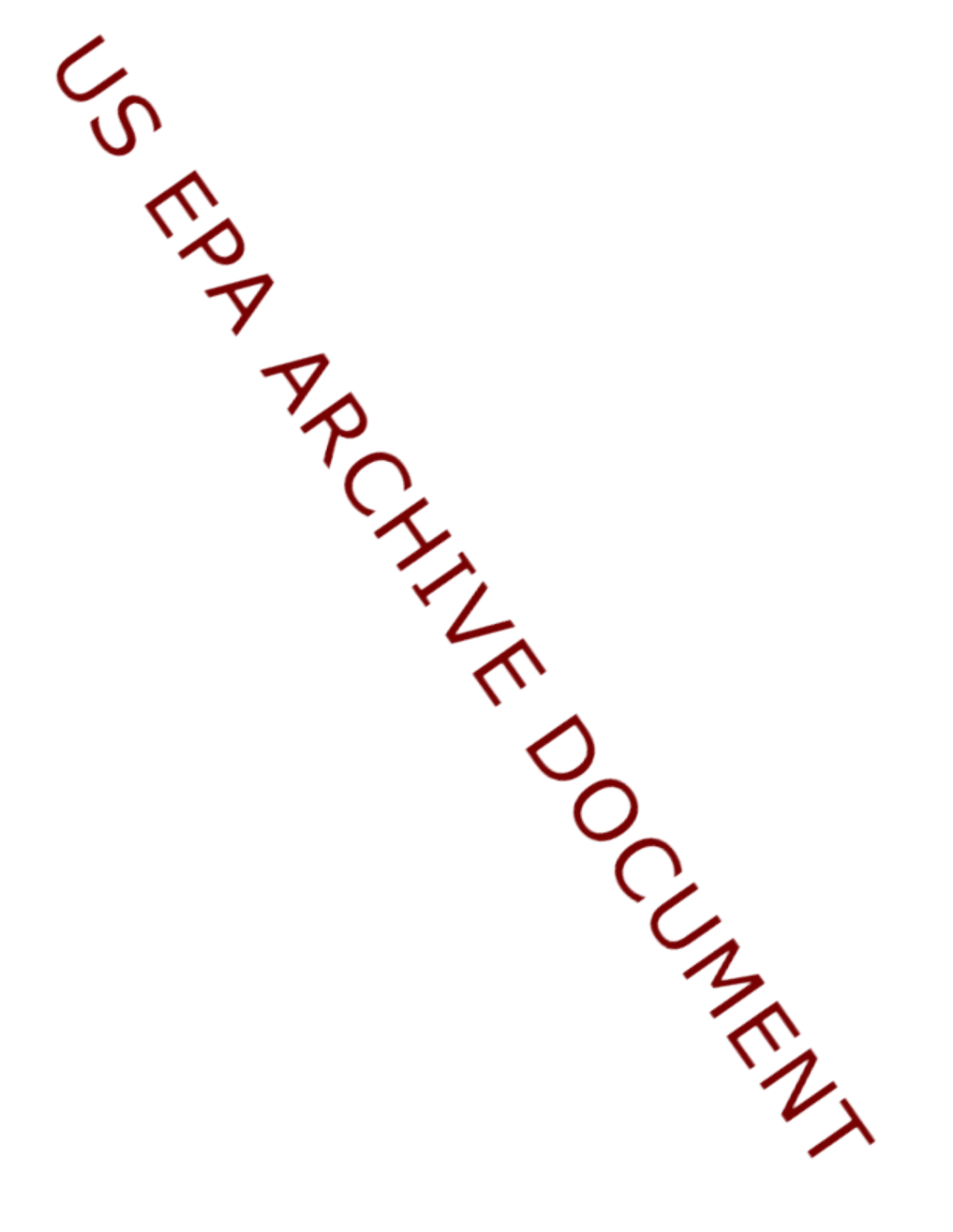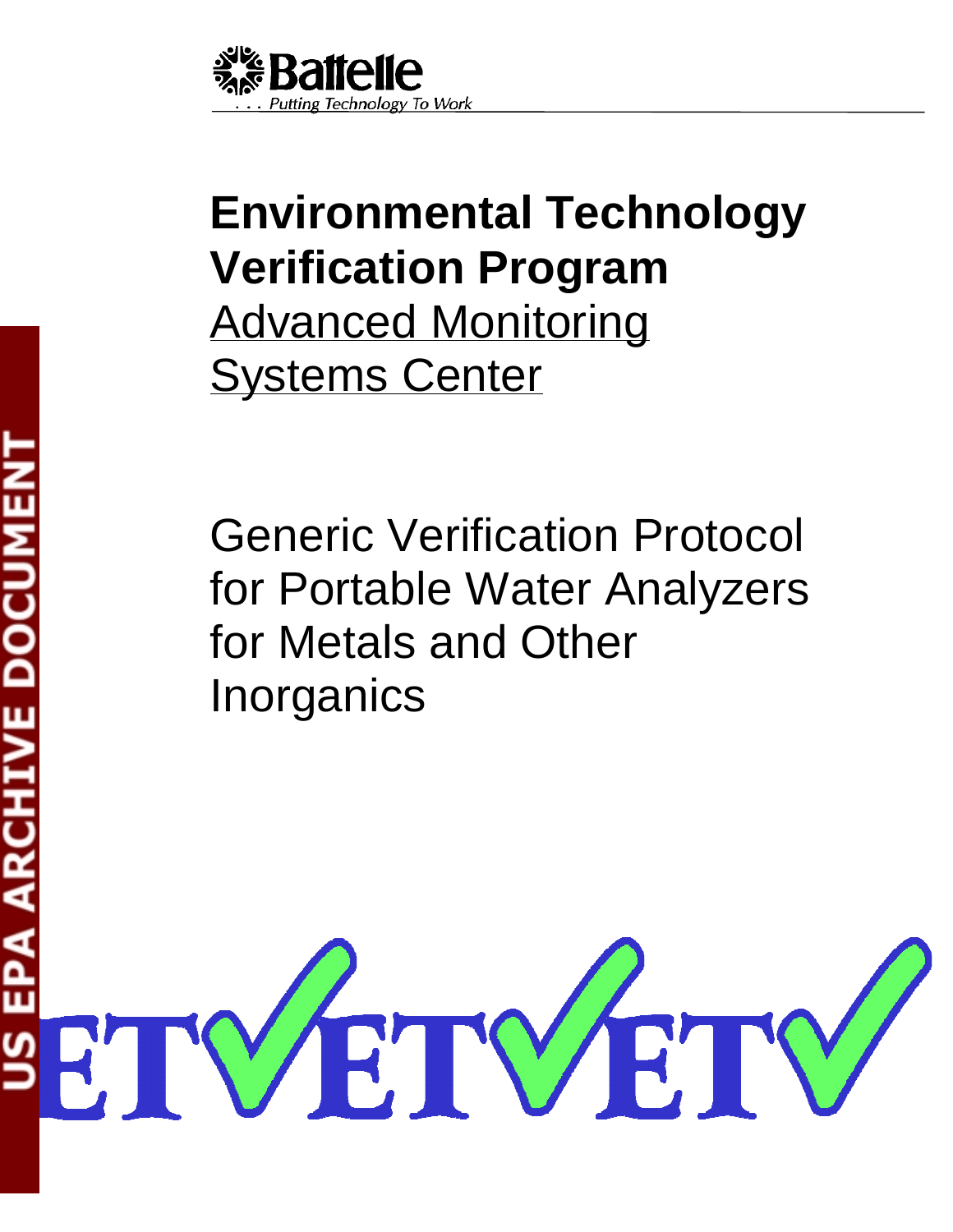

# **Environmental Technology Verification Program**  Advanced Monitoring **Systems Center**

Generic Verification Protocol for Portable Water Analyzers for Metals and Other **Inorganics** 

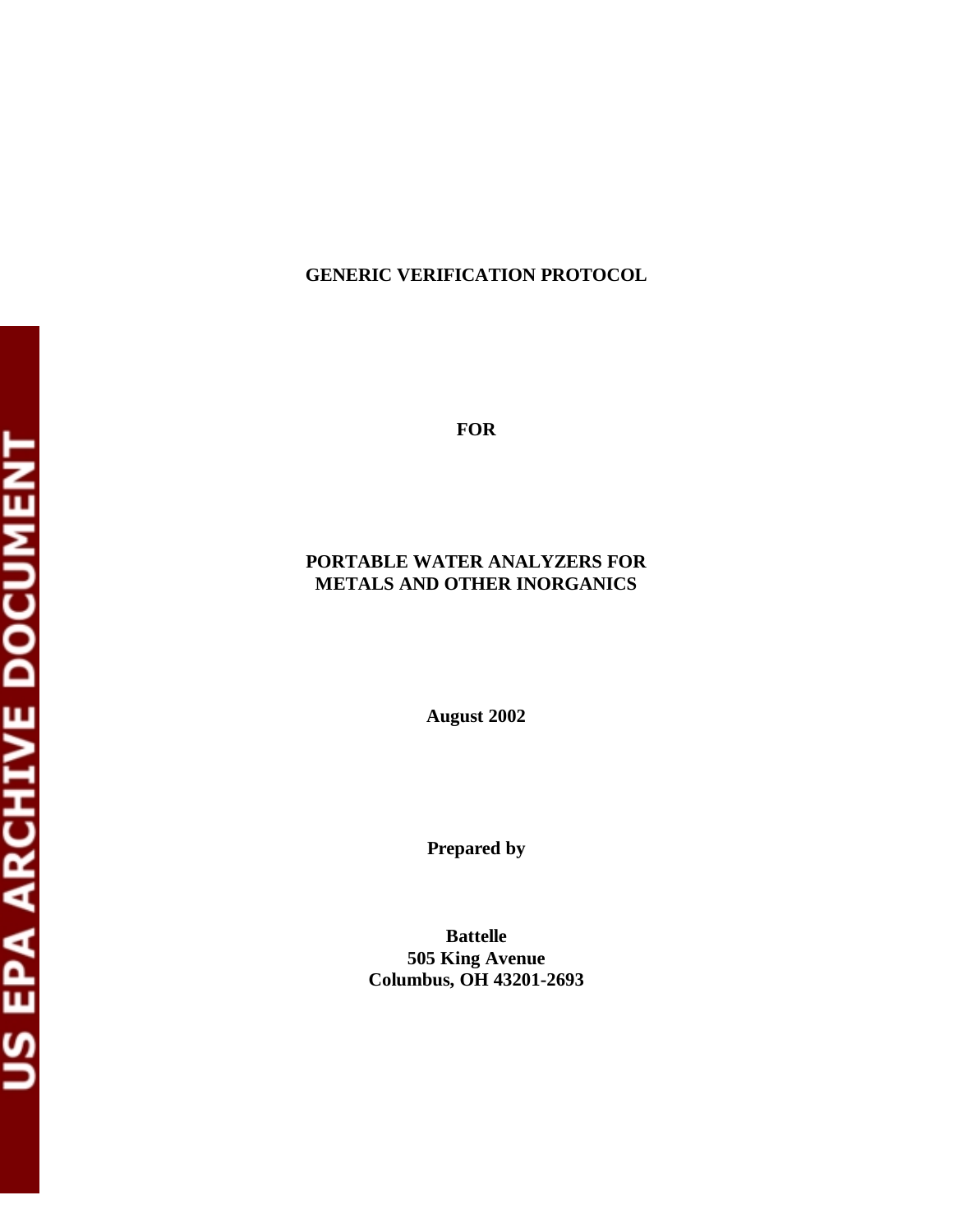# **GENERIC VERIFICATION PROTOCOL**

**FOR** 

# **PORTABLE WATER ANALYZERS FOR METALS AND OTHER INORGANICS**

**August 2002** 

**Prepared by** 

**Battelle 505 King Avenue Columbus, OH 43201-2693**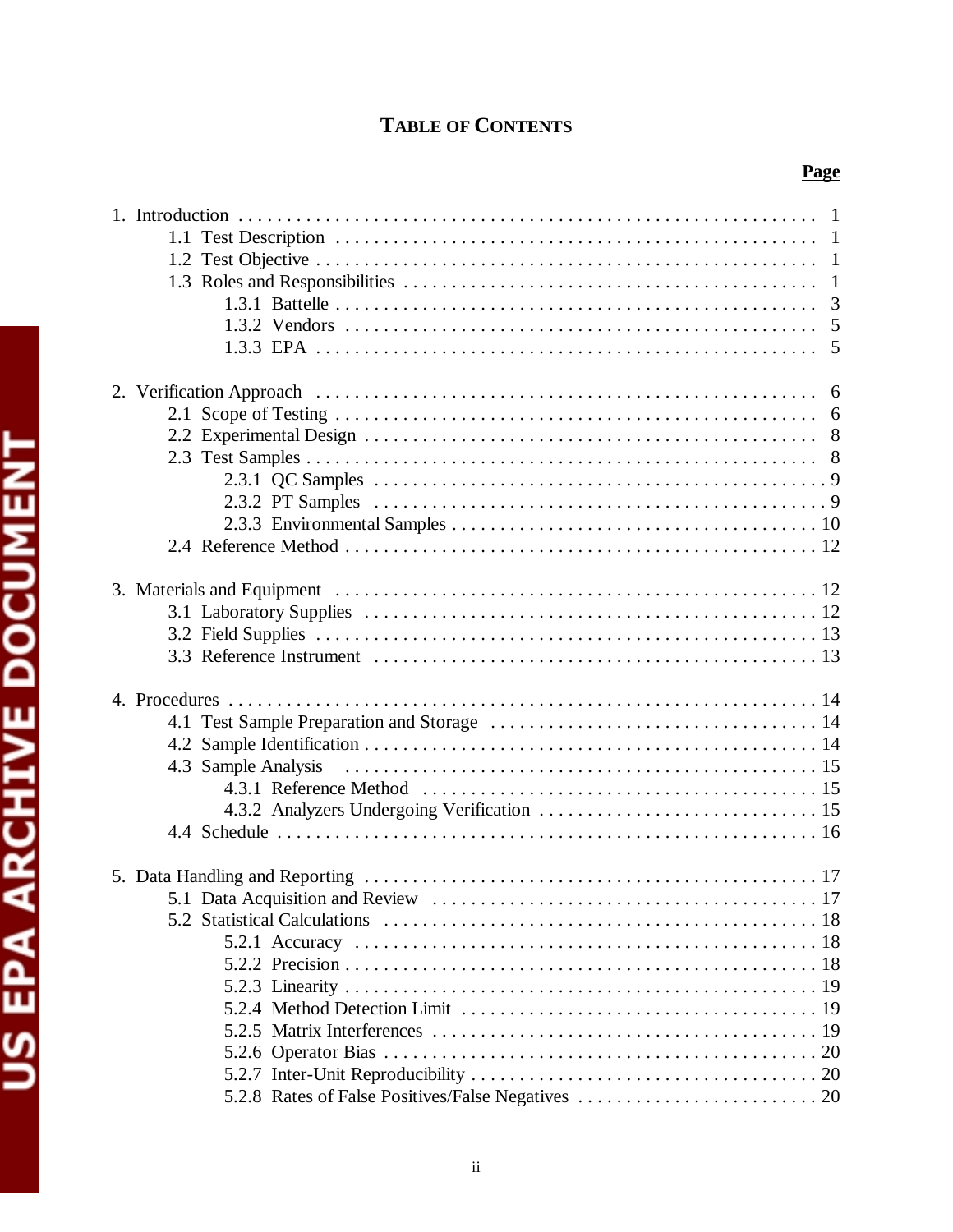# **TABLE OF CONTENTS**

| -1<br>$\mathbf{1}$<br>$\mathbf{1}$<br>3<br>5<br>5 |
|---------------------------------------------------|
|                                                   |
| 6                                                 |
| 6                                                 |
|                                                   |
|                                                   |
|                                                   |
|                                                   |
|                                                   |
|                                                   |
|                                                   |
|                                                   |
|                                                   |
|                                                   |
|                                                   |
|                                                   |
|                                                   |
|                                                   |
| 4.3 Sample Analysis                               |
|                                                   |
|                                                   |
|                                                   |
|                                                   |
|                                                   |
|                                                   |
|                                                   |
|                                                   |
|                                                   |
|                                                   |
|                                                   |
|                                                   |
|                                                   |
|                                                   |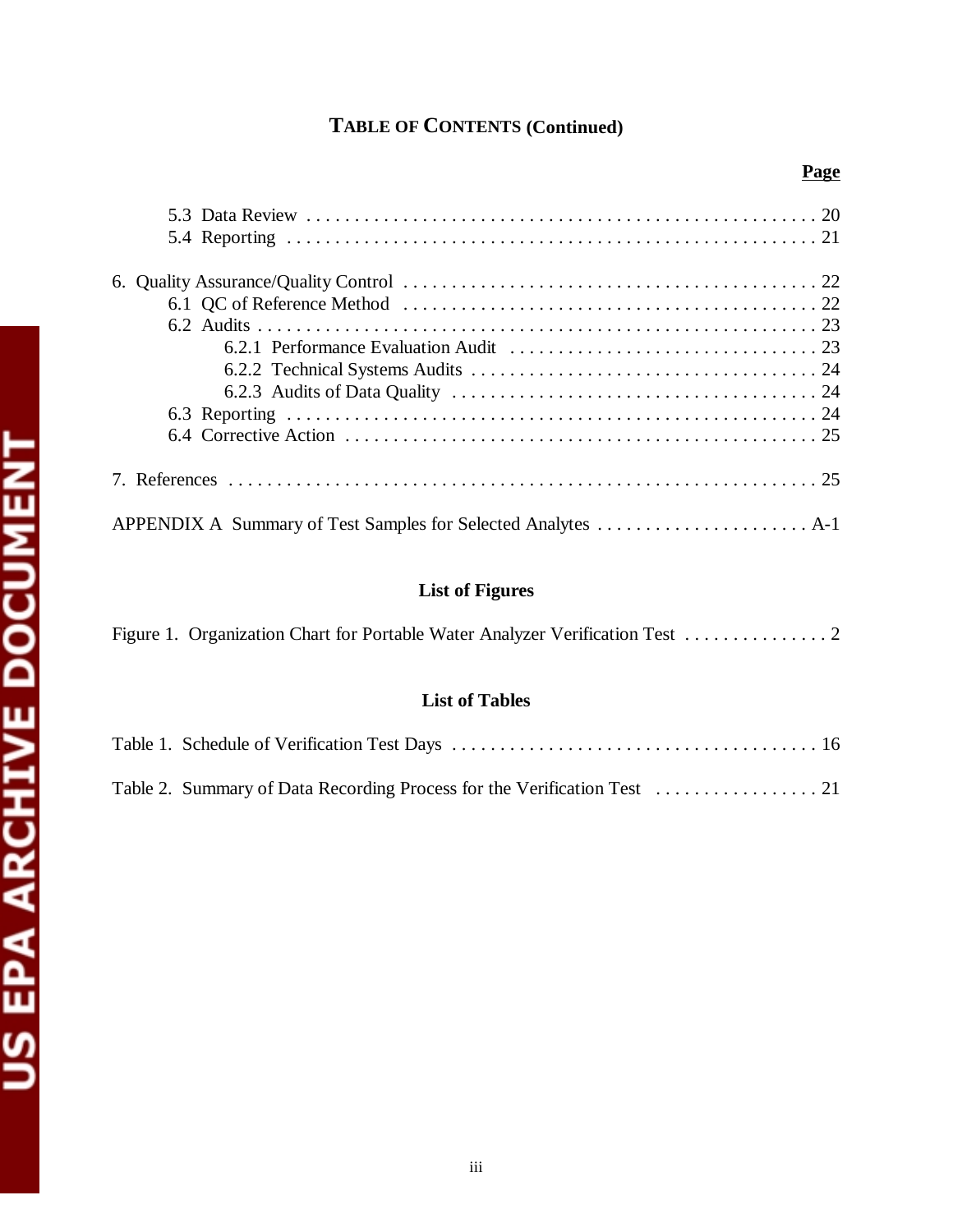# **TABLE OF CONTENTS (Continued)**

|   |  |       | 7. Ret<br>APPE. |
|---|--|-------|-----------------|
|   |  |       | Figure          |
|   |  | Table |                 |
| е |  |       | Table :         |
| ٠ |  |       |                 |
|   |  |       |                 |

# **Page**

# **List of Figures**

|--|

# **List of Tables**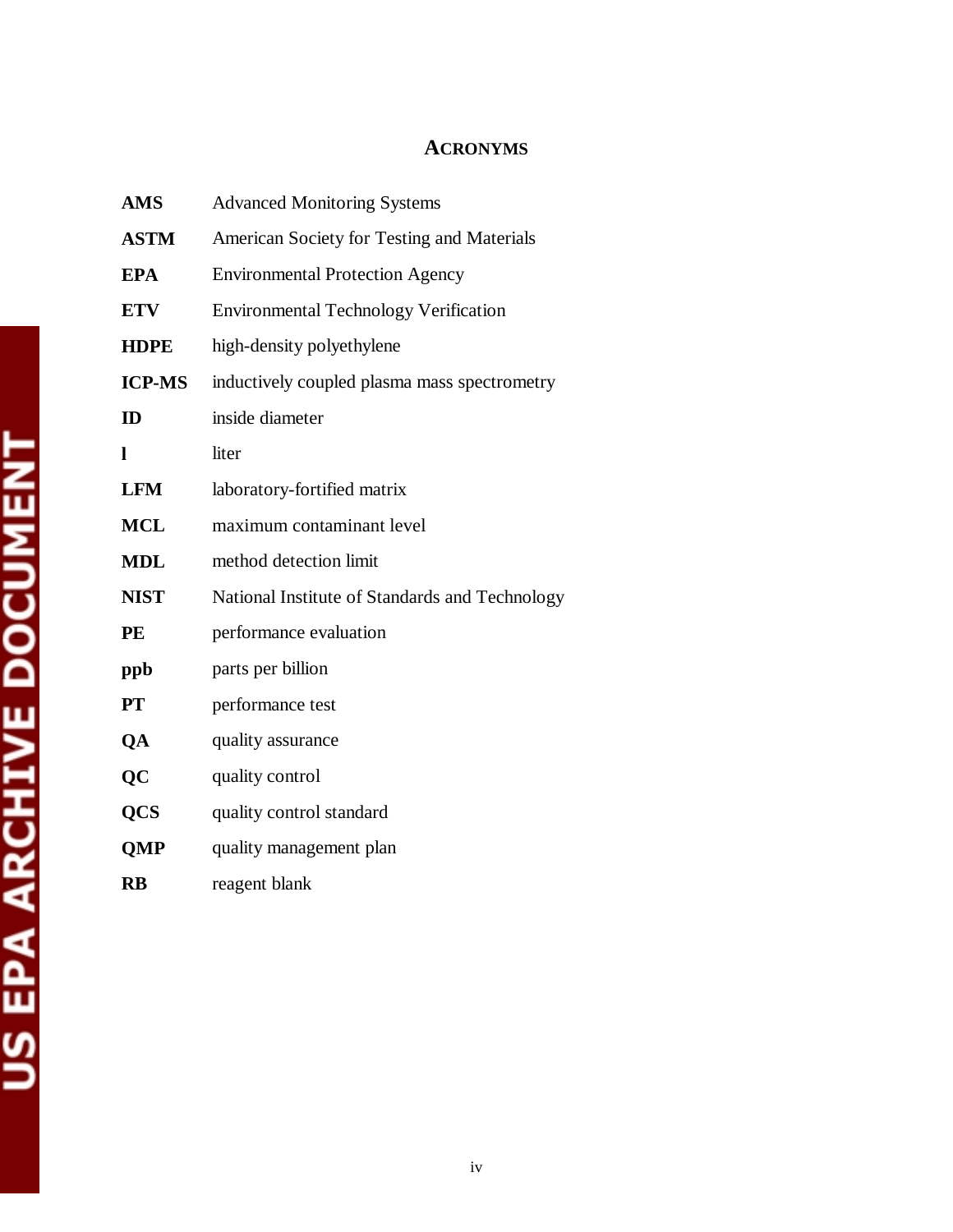# **ACRONYMS**

| <b>AMS</b>    | <b>Advanced Monitoring Systems</b>             |
|---------------|------------------------------------------------|
| <b>ASTM</b>   | American Society for Testing and Materials     |
| <b>EPA</b>    | <b>Environmental Protection Agency</b>         |
| <b>ETV</b>    | <b>Environmental Technology Verification</b>   |
| <b>HDPE</b>   | high-density polyethylene                      |
| <b>ICP-MS</b> | inductively coupled plasma mass spectrometry   |
| ID            | inside diameter                                |
| ı             | liter                                          |
| <b>LFM</b>    | laboratory-fortified matrix                    |
| <b>MCL</b>    | maximum contaminant level                      |
| <b>MDL</b>    | method detection limit                         |
| <b>NIST</b>   | National Institute of Standards and Technology |
| PE            | performance evaluation                         |
| ppb           | parts per billion                              |
| <b>PT</b>     | performance test                               |
| QA            | quality assurance                              |
| QC            | quality control                                |
| <b>QCS</b>    | quality control standard                       |
| <b>QMP</b>    | quality management plan                        |
| <b>RB</b>     | reagent blank                                  |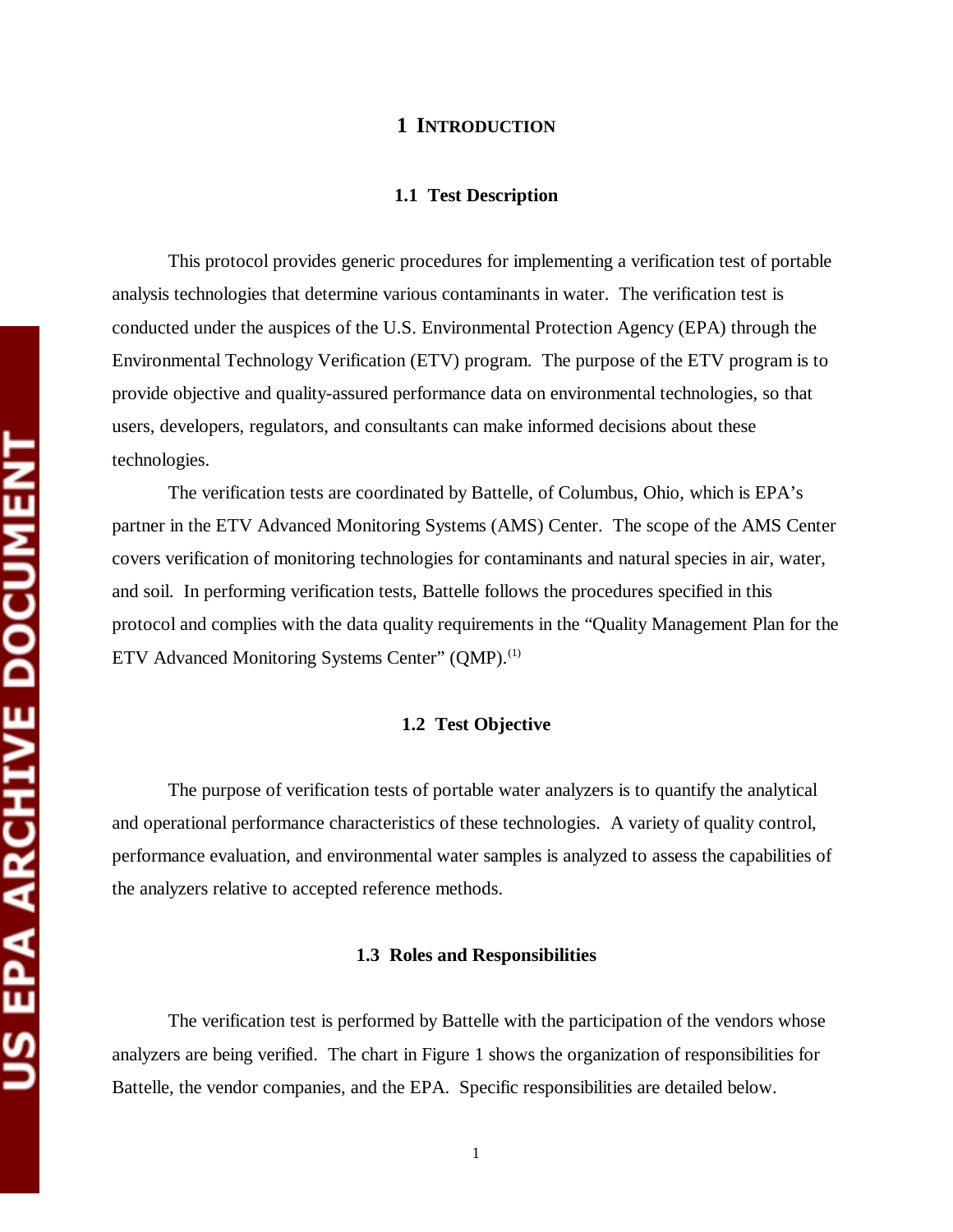#### **1 INTRODUCTION**

#### **1.1 Test Description**

This protocol provides generic procedures for implementing a verification test of portable analysis technologies that determine various contaminants in water. The verification test is conducted under the auspices of the U.S. Environmental Protection Agency (EPA) through the Environmental Technology Verification (ETV) program. The purpose of the ETV program is to provide objective and quality-assured performance data on environmental technologies, so that users, developers, regulators, and consultants can make informed decisions about these technologies.

The verification tests are coordinated by Battelle, of Columbus, Ohio, which is EPA's partner in the ETV Advanced Monitoring Systems (AMS) Center. The scope of the AMS Center covers verification of monitoring technologies for contaminants and natural species in air, water, and soil. In performing verification tests, Battelle follows the procedures specified in this protocol and complies with the data quality requirements in the "Quality Management Plan for the ETV Advanced Monitoring Systems Center" (QMP).<sup>(1)</sup>

#### **1.2 Test Objective**

The purpose of verification tests of portable water analyzers is to quantify the analytical and operational performance characteristics of these technologies. A variety of quality control, performance evaluation, and environmental water samples is analyzed to assess the capabilities of the analyzers relative to accepted reference methods.

#### **1.3 Roles and Responsibilities**

The verification test is performed by Battelle with the participation of the vendors whose analyzers are being verified. The chart in Figure 1 shows the organization of responsibilities for Battelle, the vendor companies, and the EPA. Specific responsibilities are detailed below.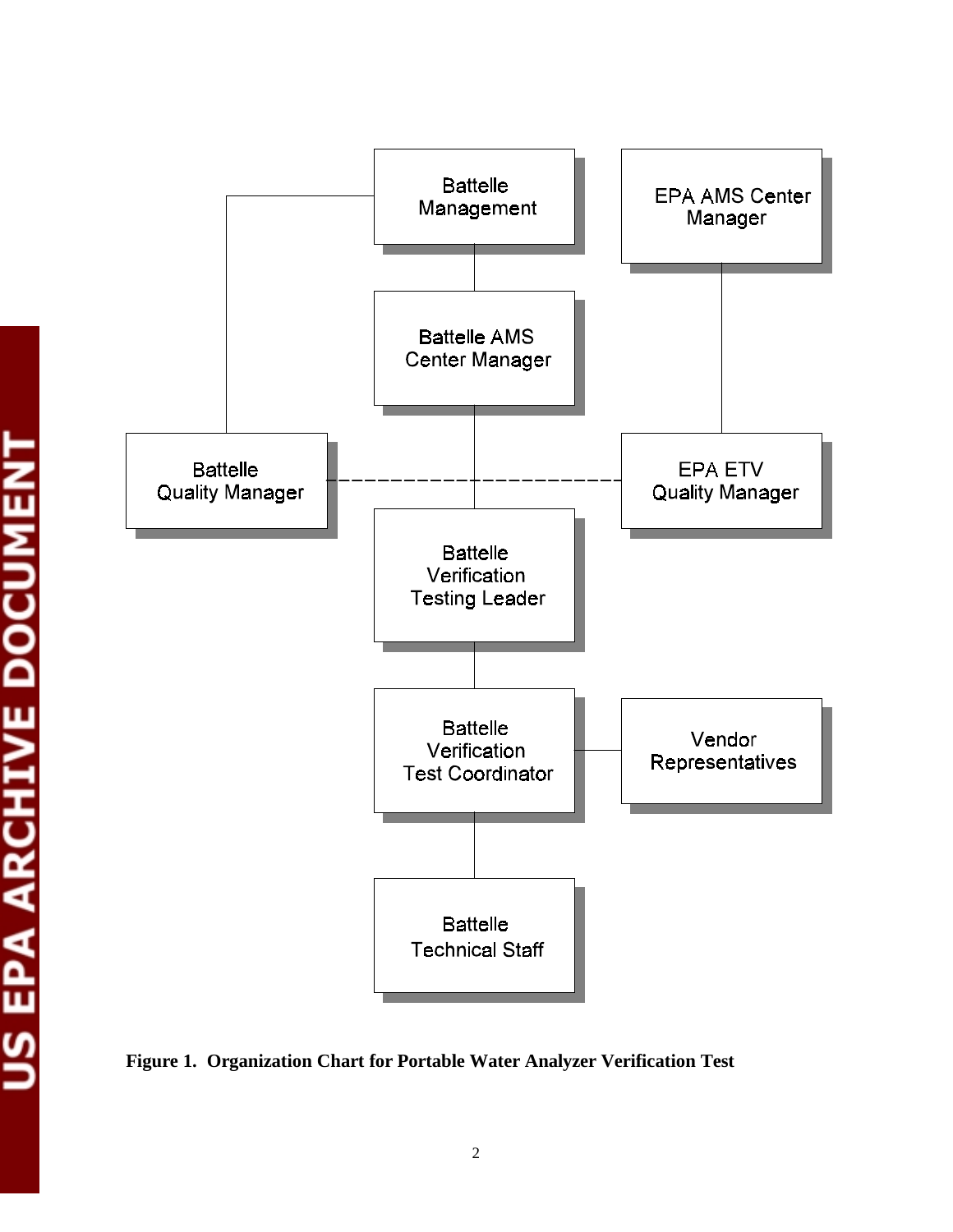

**Figure 1. Organization Chart for Portable Water Analyzer Verification Test**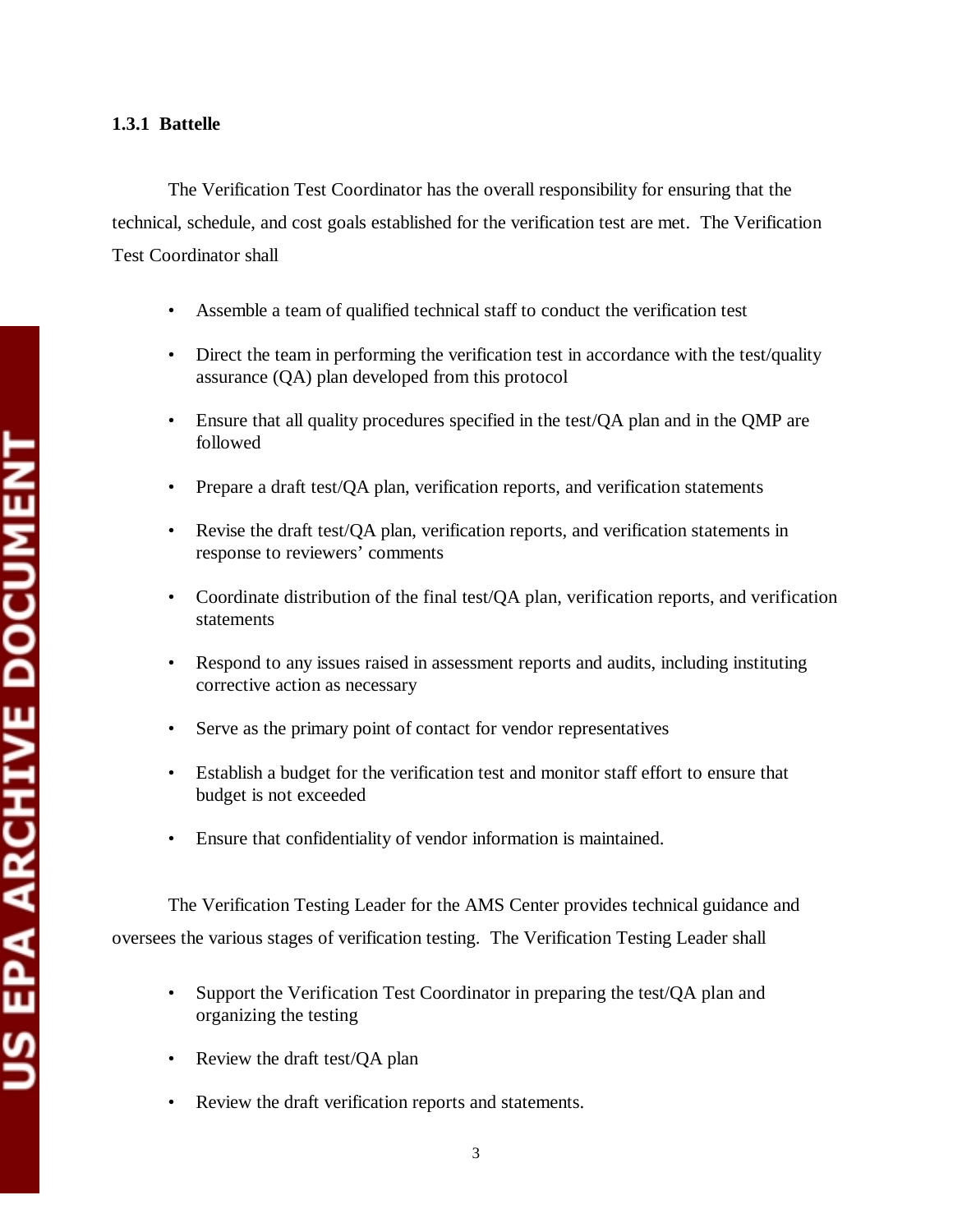# **1.3.1 Battelle**

The Verification Test Coordinator has the overall responsibility for ensuring that the technical, schedule, and cost goals established for the verification test are met. The Verification Test Coordinator shall

- Assemble a team of qualified technical staff to conduct the verification test
- Direct the team in performing the verification test in accordance with the test/quality assurance (QA) plan developed from this protocol
- Ensure that all quality procedures specified in the test/OA plan and in the OMP are followed
- Prepare a draft test/QA plan, verification reports, and verification statements
- Revise the draft test/QA plan, verification reports, and verification statements in response to reviewers' comments
- Coordinate distribution of the final test/QA plan, verification reports, and verification statements
- Respond to any issues raised in assessment reports and audits, including instituting corrective action as necessary
- Serve as the primary point of contact for vendor representatives
- Establish a budget for the verification test and monitor staff effort to ensure that budget is not exceeded
- Ensure that confidentiality of vendor information is maintained.

The Verification Testing Leader for the AMS Center provides technical guidance and oversees the various stages of verification testing. The Verification Testing Leader shall

- Support the Verification Test Coordinator in preparing the test/QA plan and organizing the testing
- Review the draft test/OA plan
- Review the draft verification reports and statements.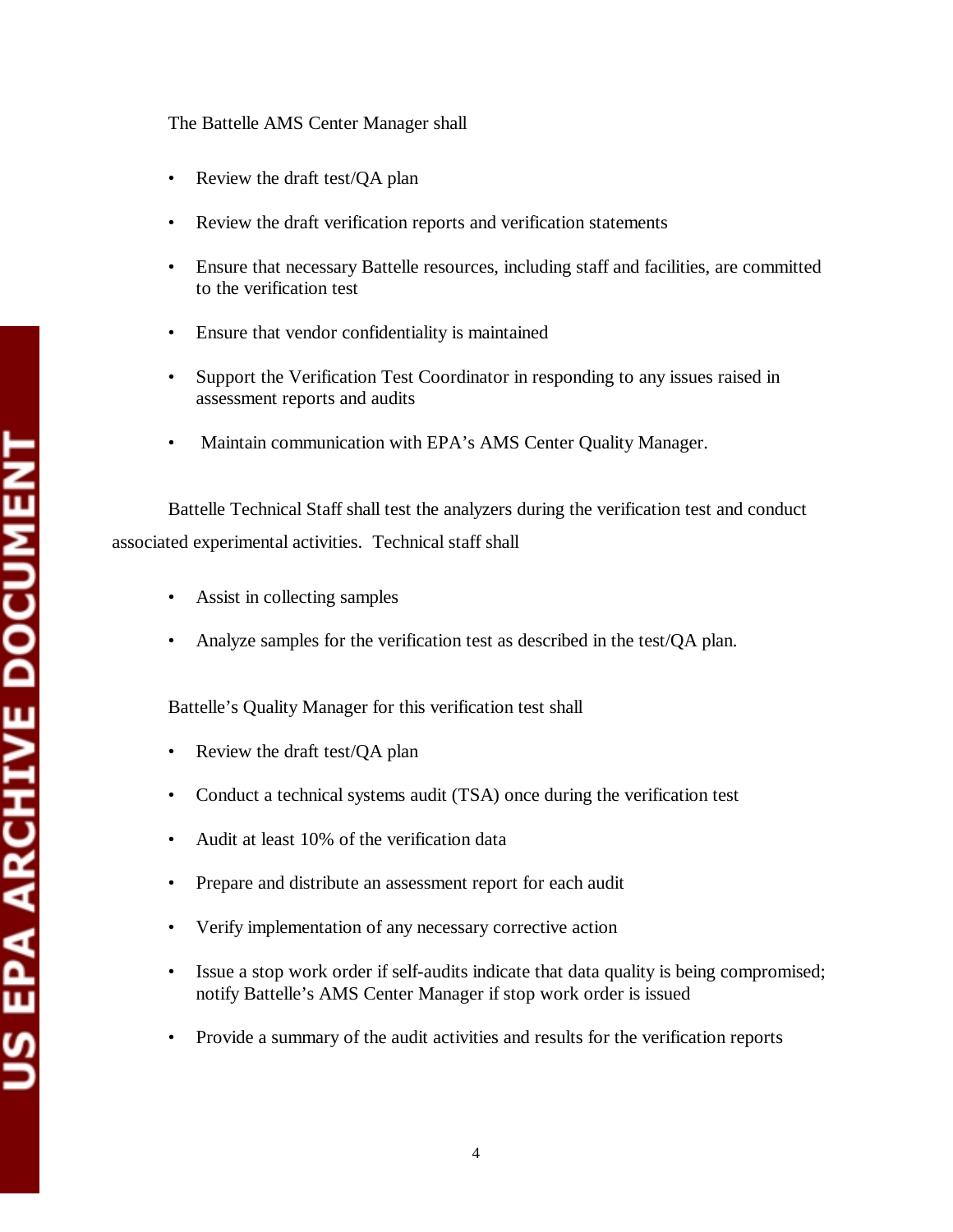# The Battelle AMS Center Manager shall

- Review the draft test/QA plan
- • Review the draft verification reports and verification statements
- Ensure that necessary Battelle resources, including staff and facilities, are committed to the verification test
- • Ensure that vendor confidentiality is maintained
- Support the Verification Test Coordinator in responding to any issues raised in assessment reports and audits
- Maintain communication with EPA's AMS Center Quality Manager.

Battelle Technical Staff shall test the analyzers during the verification test and conduct associated experimental activities. Technical staff shall

- Assist in collecting samples
- Analyze samples for the verification test as described in the test/QA plan.

Battelle's Quality Manager for this verification test shall

- Review the draft test/QA plan
- Conduct a technical systems audit (TSA) once during the verification test
- Audit at least 10% of the verification data
- Prepare and distribute an assessment report for each audit
- Verify implementation of any necessary corrective action
- Issue a stop work order if self-audits indicate that data quality is being compromised; notify Battelle's AMS Center Manager if stop work order is issued
- Provide a summary of the audit activities and results for the verification reports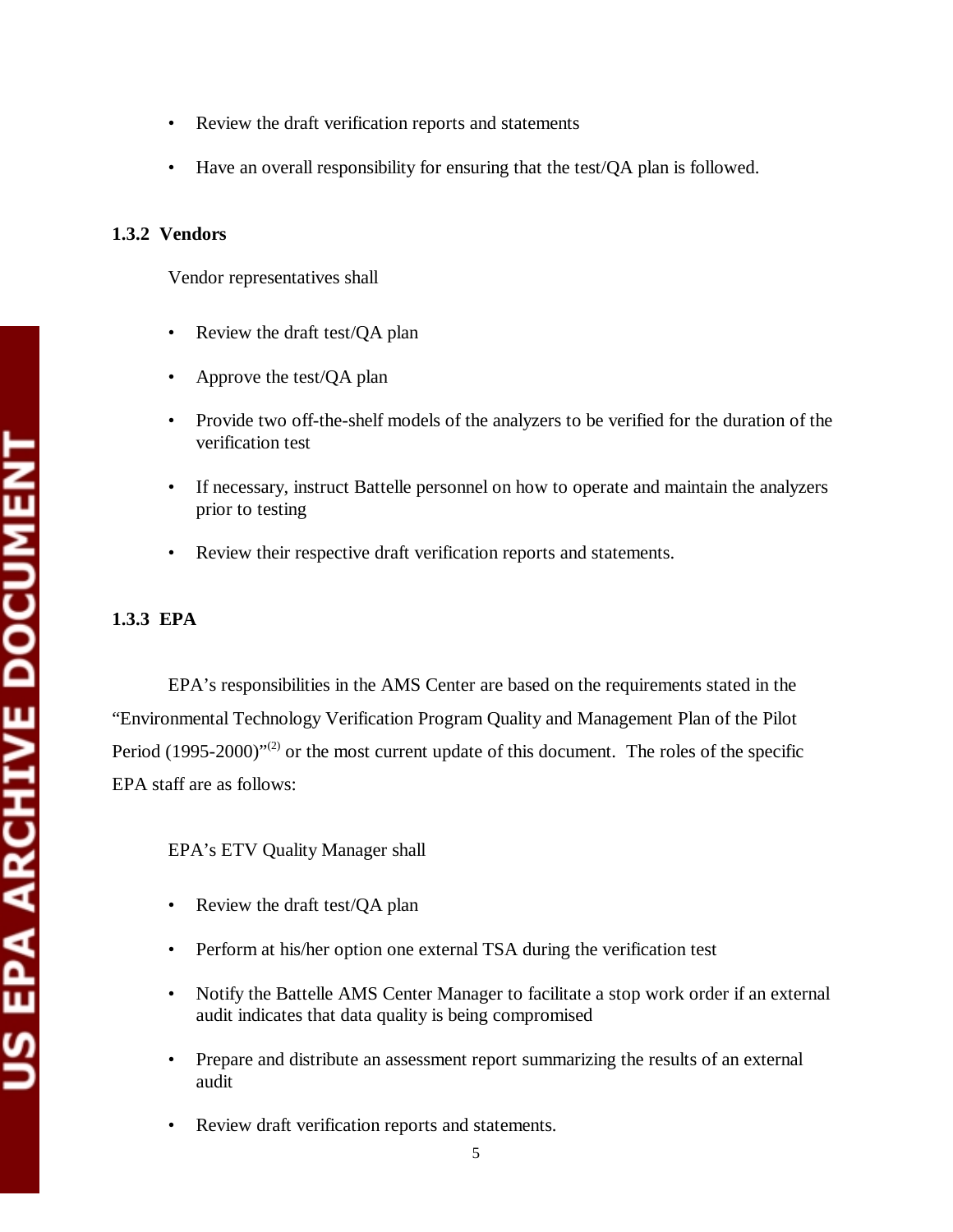- Review the draft verification reports and statements
- Have an overall responsibility for ensuring that the test/QA plan is followed.

## **1.3.2 Vendors**

Vendor representatives shall

- Review the draft test/QA plan
- Approve the test/QA plan
- Provide two off-the-shelf models of the analyzers to be verified for the duration of the verification test
- If necessary, instruct Battelle personnel on how to operate and maintain the analyzers prior to testing
- Review their respective draft verification reports and statements.

# **1.3.3 EPA**

EPA's responsibilities in the AMS Center are based on the requirements stated in the "Environmental Technology Verification Program Quality and Management Plan of the Pilot Period  $(1995-2000)^{1/2}$  or the most current update of this document. The roles of the specific EPA staff are as follows:

EPA's ETV Quality Manager shall

- Review the draft test/QA plan
- Perform at his/her option one external TSA during the verification test
- Notify the Battelle AMS Center Manager to facilitate a stop work order if an external audit indicates that data quality is being compromised
- Prepare and distribute an assessment report summarizing the results of an external audit
- Review draft verification reports and statements.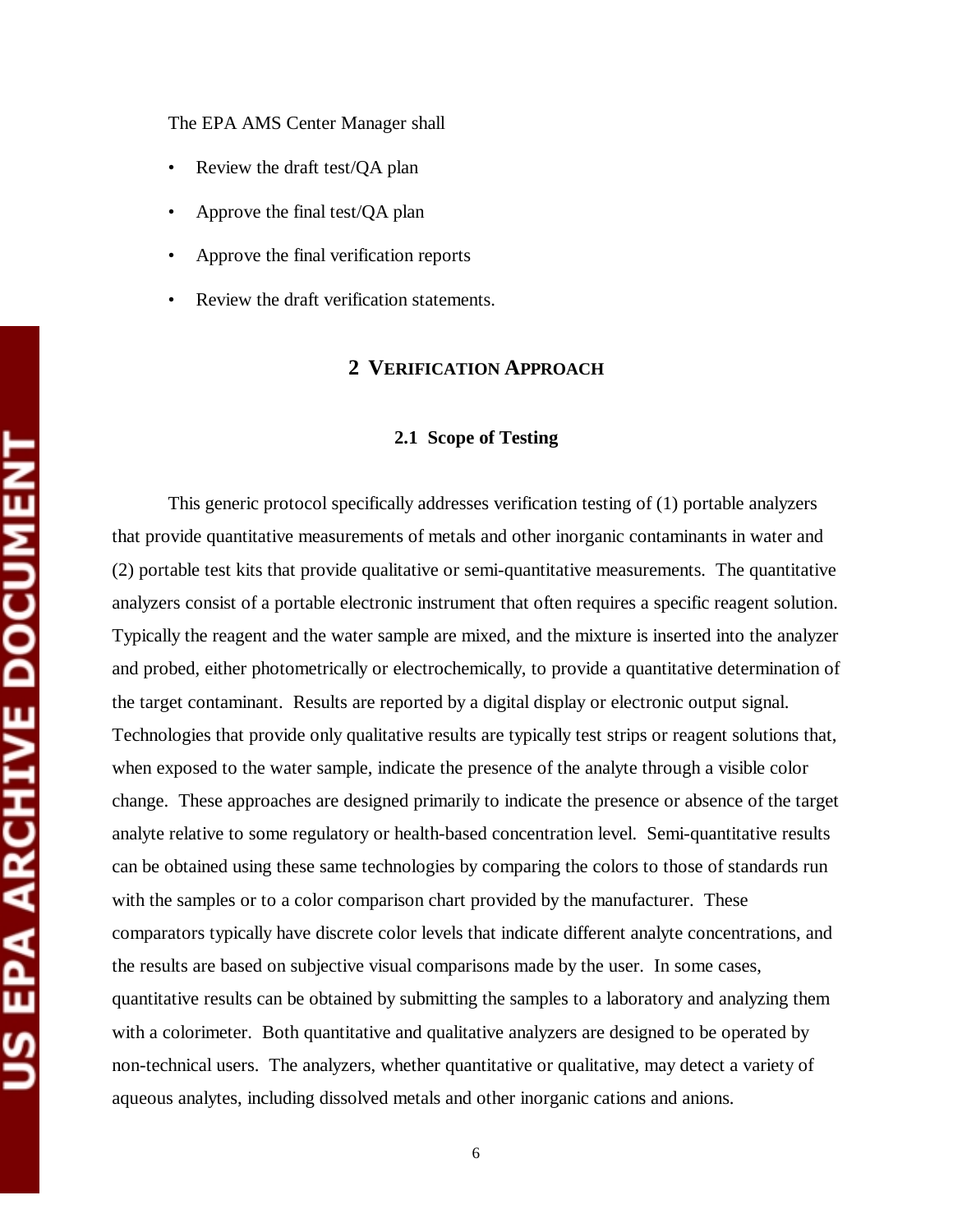The EPA AMS Center Manager shall

- Review the draft test/QA plan
- Approve the final test/QA plan
- Approve the final verification reports
- Review the draft verification statements.

# **2 VERIFICATION APPROACH**

#### **2.1 Scope of Testing**

This generic protocol specifically addresses verification testing of (1) portable analyzers that provide quantitative measurements of metals and other inorganic contaminants in water and (2) portable test kits that provide qualitative or semi-quantitative measurements. The quantitative analyzers consist of a portable electronic instrument that often requires a specific reagent solution. Typically the reagent and the water sample are mixed, and the mixture is inserted into the analyzer and probed, either photometrically or electrochemically, to provide a quantitative determination of the target contaminant. Results are reported by a digital display or electronic output signal. Technologies that provide only qualitative results are typically test strips or reagent solutions that, when exposed to the water sample, indicate the presence of the analyte through a visible color change. These approaches are designed primarily to indicate the presence or absence of the target analyte relative to some regulatory or health-based concentration level. Semi-quantitative results can be obtained using these same technologies by comparing the colors to those of standards run with the samples or to a color comparison chart provided by the manufacturer. These comparators typically have discrete color levels that indicate different analyte concentrations, and the results are based on subjective visual comparisons made by the user. In some cases, quantitative results can be obtained by submitting the samples to a laboratory and analyzing them with a colorimeter. Both quantitative and qualitative analyzers are designed to be operated by non-technical users. The analyzers, whether quantitative or qualitative, may detect a variety of aqueous analytes, including dissolved metals and other inorganic cations and anions.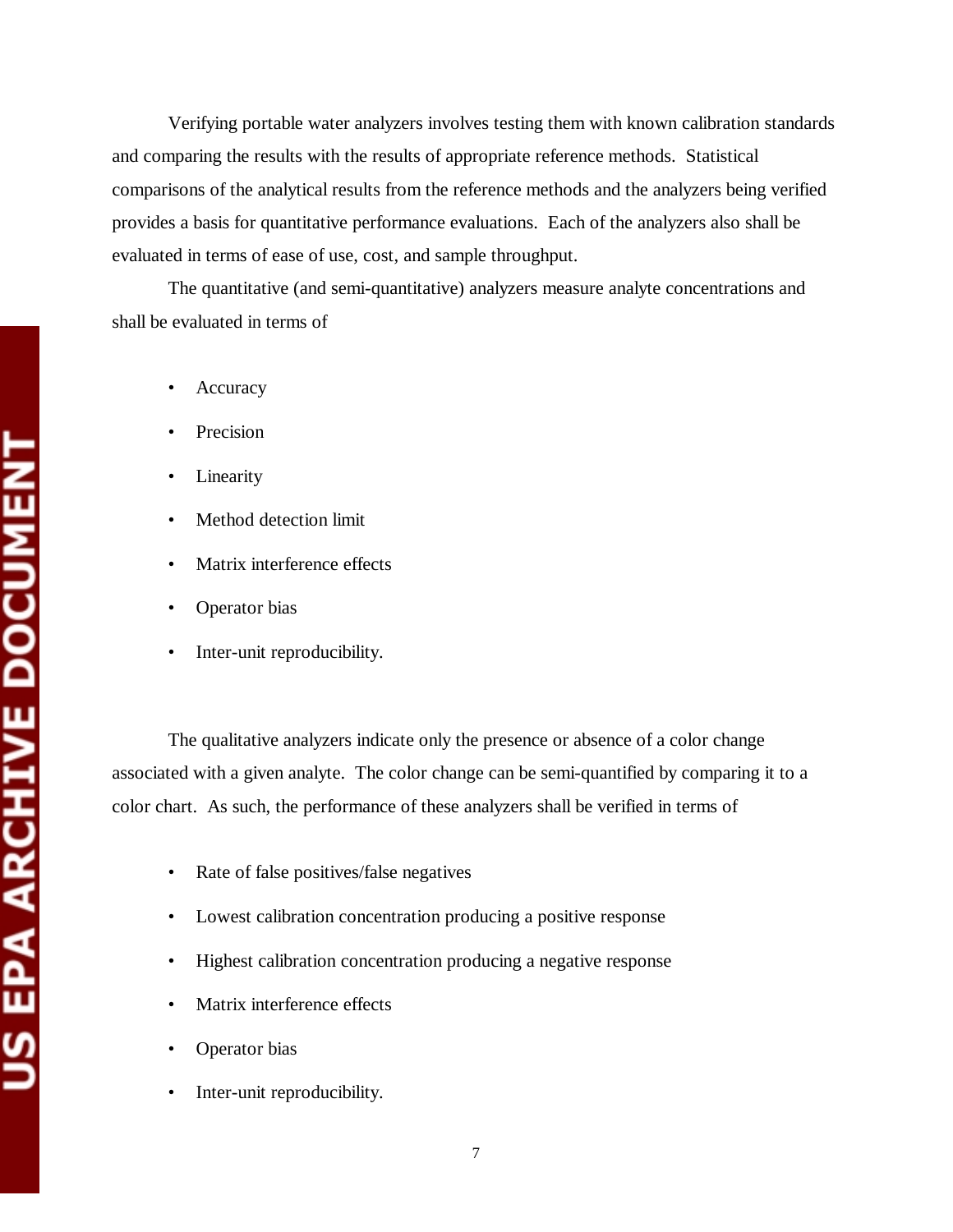Verifying portable water analyzers involves testing them with known calibration standards and comparing the results with the results of appropriate reference methods. Statistical comparisons of the analytical results from the reference methods and the analyzers being verified provides a basis for quantitative performance evaluations. Each of the analyzers also shall be evaluated in terms of ease of use, cost, and sample throughput.

The quantitative (and semi-quantitative) analyzers measure analyte concentrations and shall be evaluated in terms of

- **Accuracy**
- **Precision**
- Linearity
- Method detection limit
- Matrix interference effects
- Operator bias
- Inter-unit reproducibility.

The qualitative analyzers indicate only the presence or absence of a color change associated with a given analyte. The color change can be semi-quantified by comparing it to a color chart. As such, the performance of these analyzers shall be verified in terms of

- Rate of false positives/false negatives
- Lowest calibration concentration producing a positive response
- Highest calibration concentration producing a negative response
- Matrix interference effects
- Operator bias
- Inter-unit reproducibility.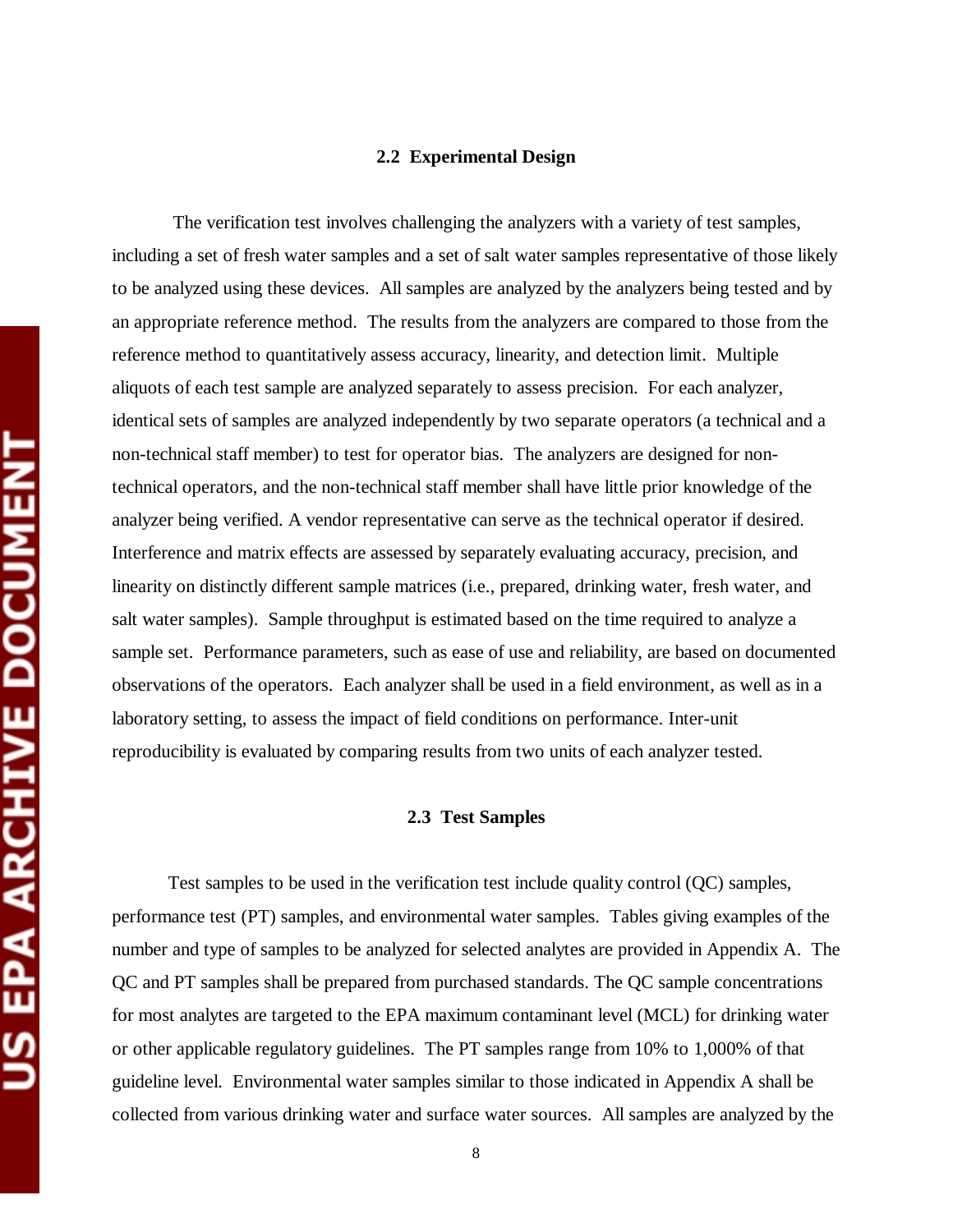#### **2.2 Experimental Design**

 The verification test involves challenging the analyzers with a variety of test samples, including a set of fresh water samples and a set of salt water samples representative of those likely to be analyzed using these devices. All samples are analyzed by the analyzers being tested and by an appropriate reference method. The results from the analyzers are compared to those from the reference method to quantitatively assess accuracy, linearity, and detection limit. Multiple aliquots of each test sample are analyzed separately to assess precision. For each analyzer, identical sets of samples are analyzed independently by two separate operators (a technical and a non-technical staff member) to test for operator bias. The analyzers are designed for nontechnical operators, and the non-technical staff member shall have little prior knowledge of the analyzer being verified. A vendor representative can serve as the technical operator if desired. Interference and matrix effects are assessed by separately evaluating accuracy, precision, and linearity on distinctly different sample matrices (i.e., prepared, drinking water, fresh water, and salt water samples). Sample throughput is estimated based on the time required to analyze a sample set. Performance parameters, such as ease of use and reliability, are based on documented observations of the operators. Each analyzer shall be used in a field environment, as well as in a laboratory setting, to assess the impact of field conditions on performance. Inter-unit reproducibility is evaluated by comparing results from two units of each analyzer tested.

#### **2.3 Test Samples**

Test samples to be used in the verification test include quality control (QC) samples, performance test (PT) samples, and environmental water samples. Tables giving examples of the number and type of samples to be analyzed for selected analytes are provided in Appendix A. The QC and PT samples shall be prepared from purchased standards. The QC sample concentrations for most analytes are targeted to the EPA maximum contaminant level (MCL) for drinking water or other applicable regulatory guidelines. The PT samples range from 10% to 1,000% of that guideline level. Environmental water samples similar to those indicated in Appendix A shall be collected from various drinking water and surface water sources. All samples are analyzed by the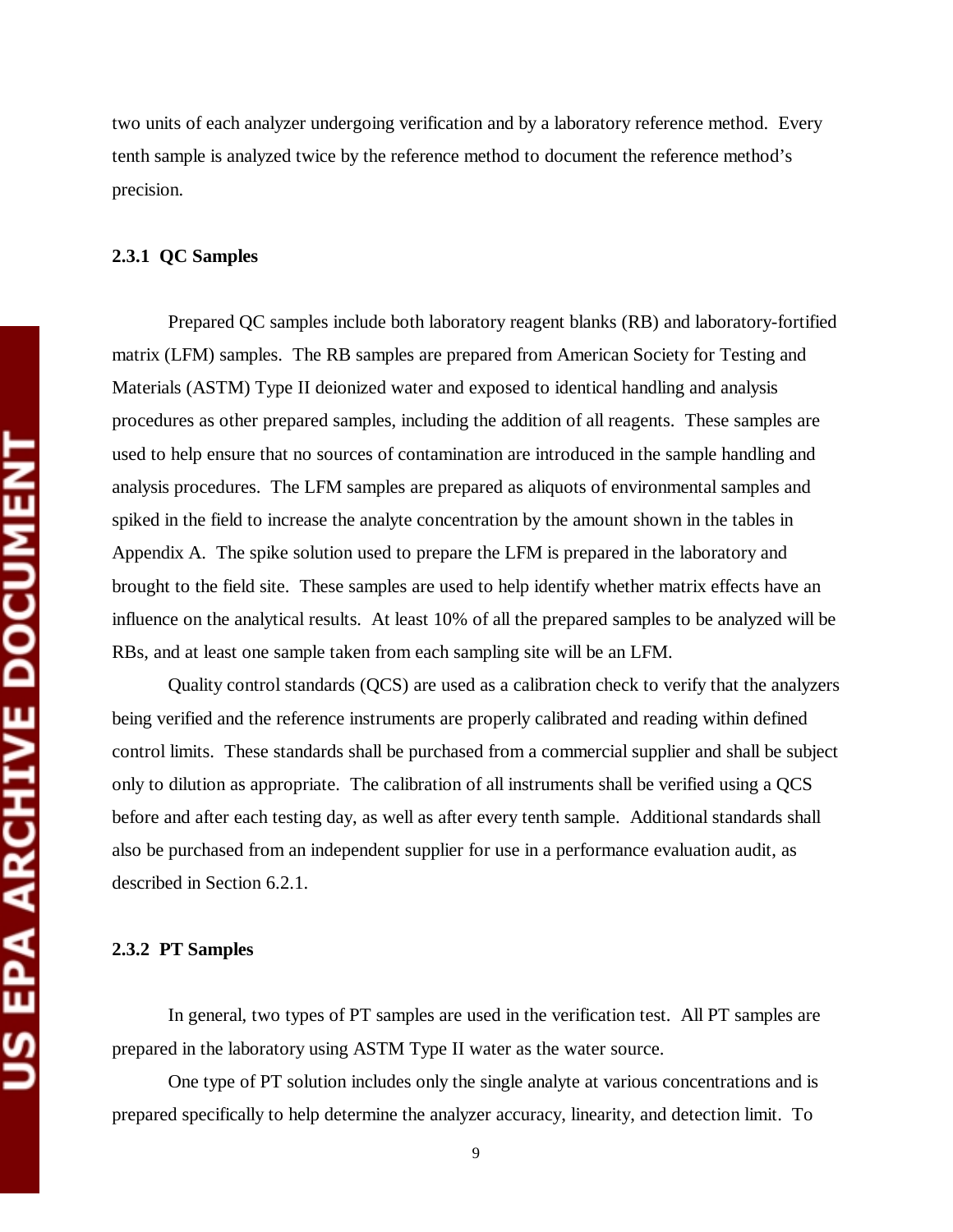two units of each analyzer undergoing verification and by a laboratory reference method. Every tenth sample is analyzed twice by the reference method to document the reference method's precision.

## **2.3.1 QC Samples**

Prepared QC samples include both laboratory reagent blanks (RB) and laboratory-fortified matrix (LFM) samples. The RB samples are prepared from American Society for Testing and Materials (ASTM) Type II deionized water and exposed to identical handling and analysis procedures as other prepared samples, including the addition of all reagents. These samples are used to help ensure that no sources of contamination are introduced in the sample handling and analysis procedures. The LFM samples are prepared as aliquots of environmental samples and spiked in the field to increase the analyte concentration by the amount shown in the tables in Appendix A. The spike solution used to prepare the LFM is prepared in the laboratory and brought to the field site. These samples are used to help identify whether matrix effects have an influence on the analytical results. At least 10% of all the prepared samples to be analyzed will be RBs, and at least one sample taken from each sampling site will be an LFM.

Quality control standards (QCS) are used as a calibration check to verify that the analyzers being verified and the reference instruments are properly calibrated and reading within defined control limits. These standards shall be purchased from a commercial supplier and shall be subject only to dilution as appropriate. The calibration of all instruments shall be verified using a QCS before and after each testing day, as well as after every tenth sample. Additional standards shall also be purchased from an independent supplier for use in a performance evaluation audit, as described in Section 6.2.1.

#### **2.3.2 PT Samples**

In general, two types of PT samples are used in the verification test. All PT samples are prepared in the laboratory using ASTM Type II water as the water source.

One type of PT solution includes only the single analyte at various concentrations and is prepared specifically to help determine the analyzer accuracy, linearity, and detection limit. To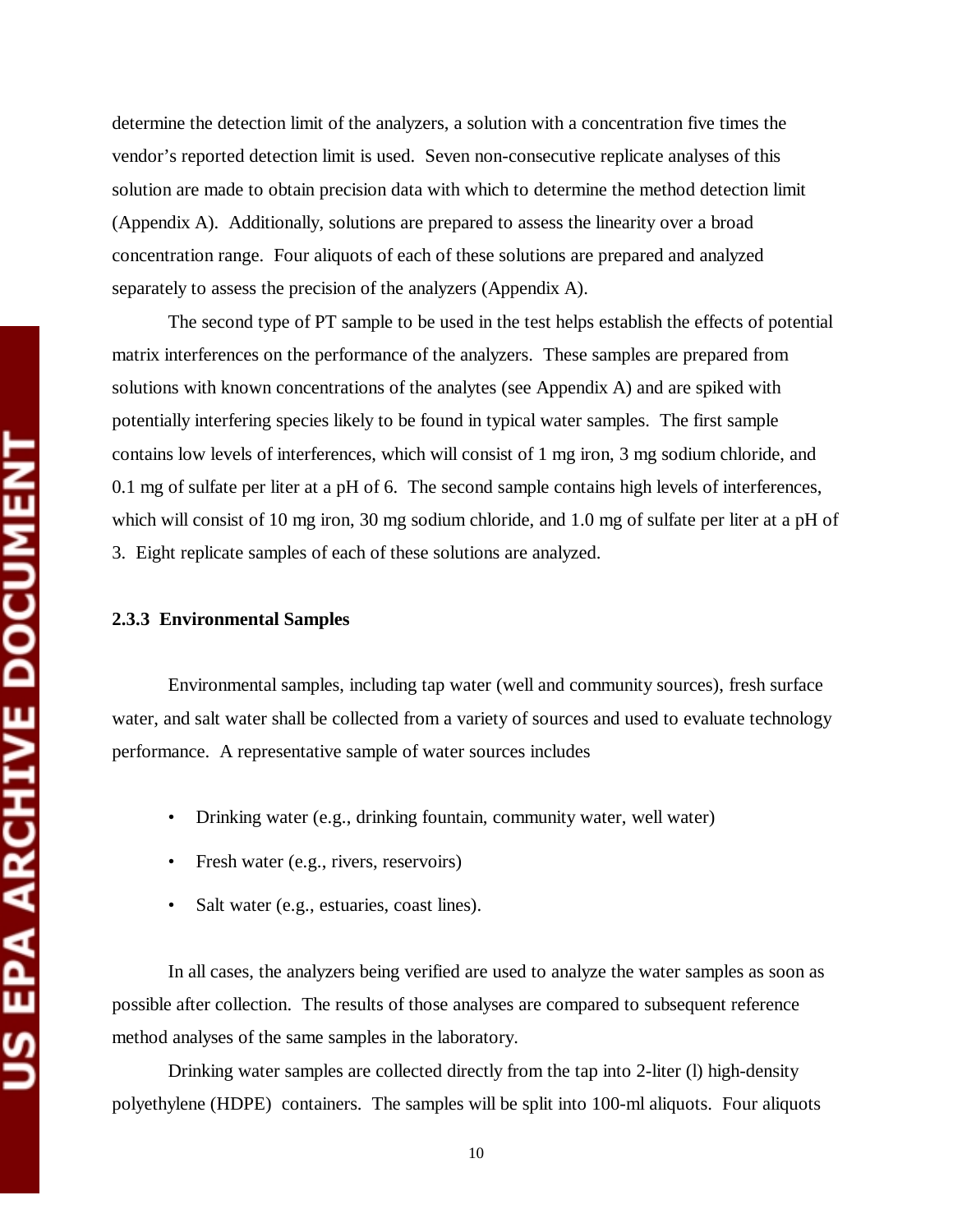determine the detection limit of the analyzers, a solution with a concentration five times the vendor's reported detection limit is used. Seven non-consecutive replicate analyses of this solution are made to obtain precision data with which to determine the method detection limit (Appendix A). Additionally, solutions are prepared to assess the linearity over a broad concentration range. Four aliquots of each of these solutions are prepared and analyzed separately to assess the precision of the analyzers (Appendix A).

The second type of PT sample to be used in the test helps establish the effects of potential matrix interferences on the performance of the analyzers. These samples are prepared from solutions with known concentrations of the analytes (see Appendix A) and are spiked with potentially interfering species likely to be found in typical water samples. The first sample contains low levels of interferences, which will consist of 1 mg iron, 3 mg sodium chloride, and 0.1 mg of sulfate per liter at a pH of 6. The second sample contains high levels of interferences, which will consist of 10 mg iron, 30 mg sodium chloride, and 1.0 mg of sulfate per liter at a pH of 3. Eight replicate samples of each of these solutions are analyzed.

#### **2.3.3 Environmental Samples**

Environmental samples, including tap water (well and community sources), fresh surface water, and salt water shall be collected from a variety of sources and used to evaluate technology performance. A representative sample of water sources includes

- Drinking water (e.g., drinking fountain, community water, well water)
- Fresh water (e.g., rivers, reservoirs)
- Salt water (e.g., estuaries, coast lines).

In all cases, the analyzers being verified are used to analyze the water samples as soon as possible after collection. The results of those analyses are compared to subsequent reference method analyses of the same samples in the laboratory.

Drinking water samples are collected directly from the tap into 2-liter (l) high-density polyethylene (HDPE) containers. The samples will be split into 100-ml aliquots. Four aliquots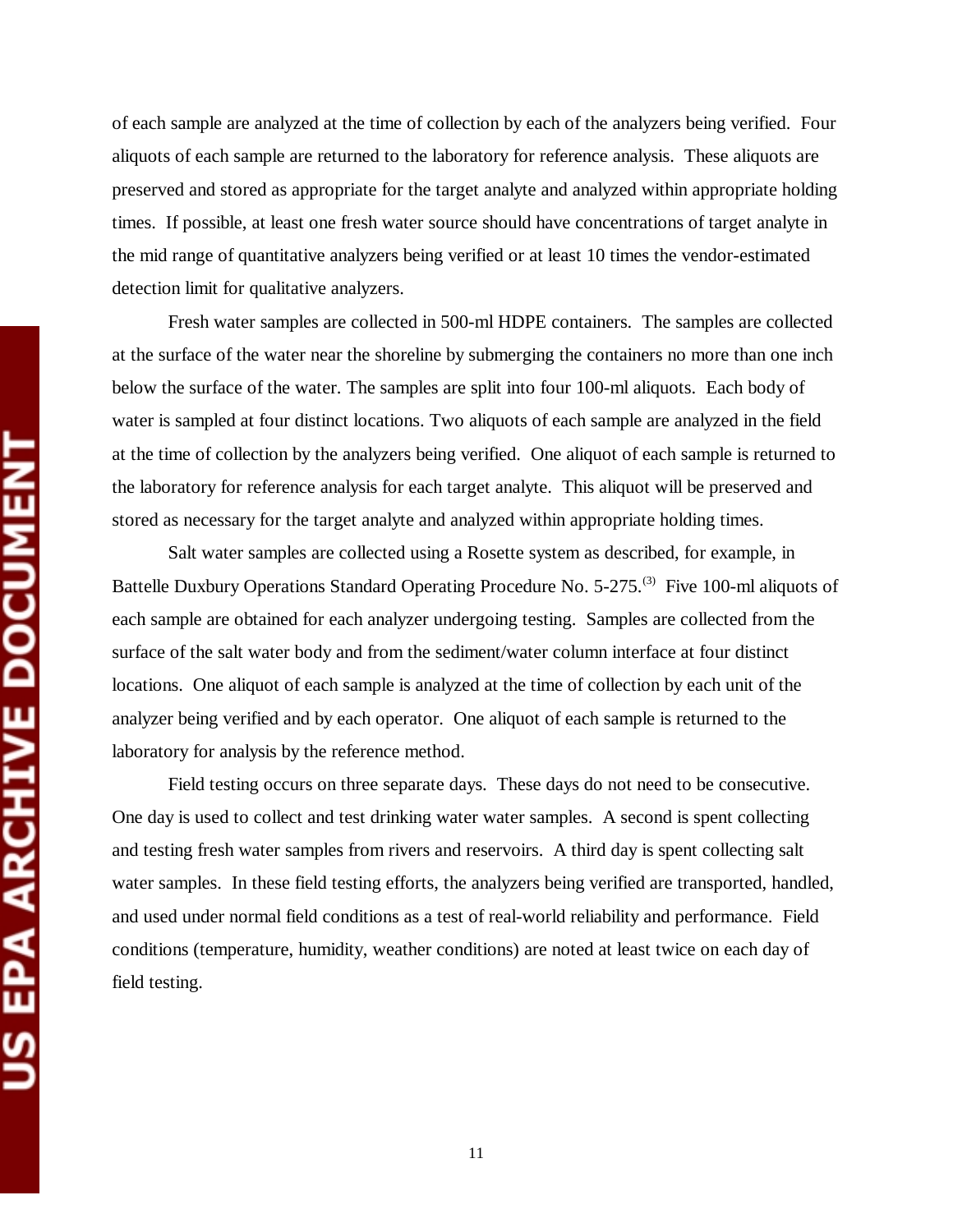of each sample are analyzed at the time of collection by each of the analyzers being verified. Four aliquots of each sample are returned to the laboratory for reference analysis. These aliquots are preserved and stored as appropriate for the target analyte and analyzed within appropriate holding times. If possible, at least one fresh water source should have concentrations of target analyte in the mid range of quantitative analyzers being verified or at least 10 times the vendor-estimated detection limit for qualitative analyzers.

Fresh water samples are collected in 500-ml HDPE containers. The samples are collected at the surface of the water near the shoreline by submerging the containers no more than one inch below the surface of the water. The samples are split into four 100-ml aliquots. Each body of water is sampled at four distinct locations. Two aliquots of each sample are analyzed in the field at the time of collection by the analyzers being verified. One aliquot of each sample is returned to the laboratory for reference analysis for each target analyte. This aliquot will be preserved and stored as necessary for the target analyte and analyzed within appropriate holding times.

Salt water samples are collected using a Rosette system as described, for example, in Battelle Duxbury Operations Standard Operating Procedure No. 5-275.<sup>(3)</sup> Five 100-ml aliquots of each sample are obtained for each analyzer undergoing testing. Samples are collected from the surface of the salt water body and from the sediment/water column interface at four distinct locations. One aliquot of each sample is analyzed at the time of collection by each unit of the analyzer being verified and by each operator. One aliquot of each sample is returned to the laboratory for analysis by the reference method.

Field testing occurs on three separate days. These days do not need to be consecutive. One day is used to collect and test drinking water water samples. A second is spent collecting and testing fresh water samples from rivers and reservoirs. A third day is spent collecting salt water samples. In these field testing efforts, the analyzers being verified are transported, handled, and used under normal field conditions as a test of real-world reliability and performance. Field conditions (temperature, humidity, weather conditions) are noted at least twice on each day of field testing.

11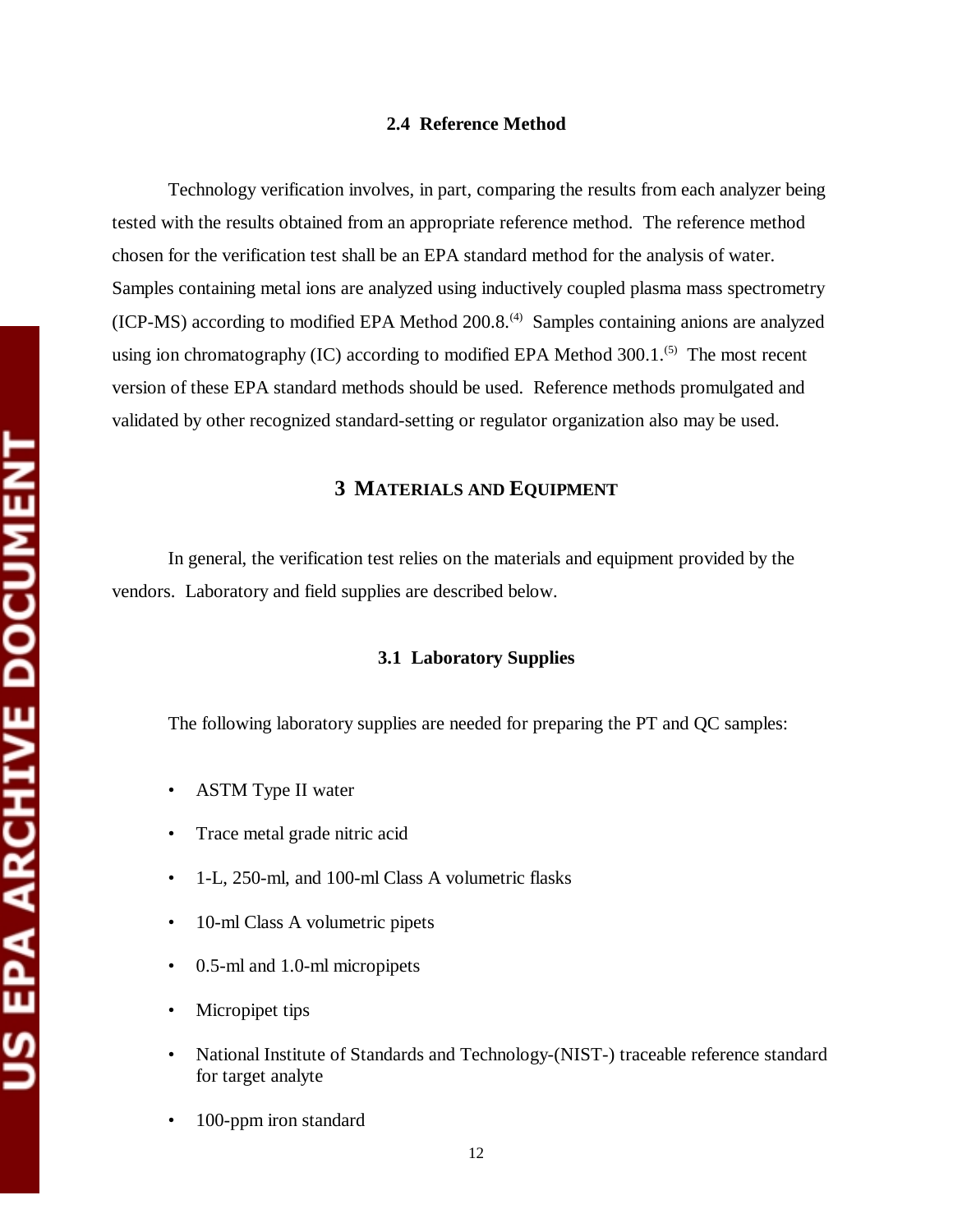#### **2.4 Reference Method**

Technology verification involves, in part, comparing the results from each analyzer being tested with the results obtained from an appropriate reference method. The reference method chosen for the verification test shall be an EPA standard method for the analysis of water. Samples containing metal ions are analyzed using inductively coupled plasma mass spectrometry  $(ICP-MS)$  according to modified EPA Method 200.8.<sup>(4)</sup> Samples containing anions are analyzed using ion chromatography (IC) according to modified EPA Method  $300.1$ .<sup>(5)</sup> The most recent version of these EPA standard methods should be used. Reference methods promulgated and validated by other recognized standard-setting or regulator organization also may be used.

### **3 MATERIALS AND EQUIPMENT**

In general, the verification test relies on the materials and equipment provided by the vendors. Laboratory and field supplies are described below.

#### **3.1 Laboratory Supplies**

The following laboratory supplies are needed for preparing the PT and QC samples:

- ASTM Type II water
- Trace metal grade nitric acid
- 1-L, 250-ml, and 100-ml Class A volumetric flasks
- 10-ml Class A volumetric pipets
- 0.5-ml and 1.0-ml micropipets
- Micropipet tips
- National Institute of Standards and Technology-(NIST-) traceable reference standard for target analyte
- 100-ppm iron standard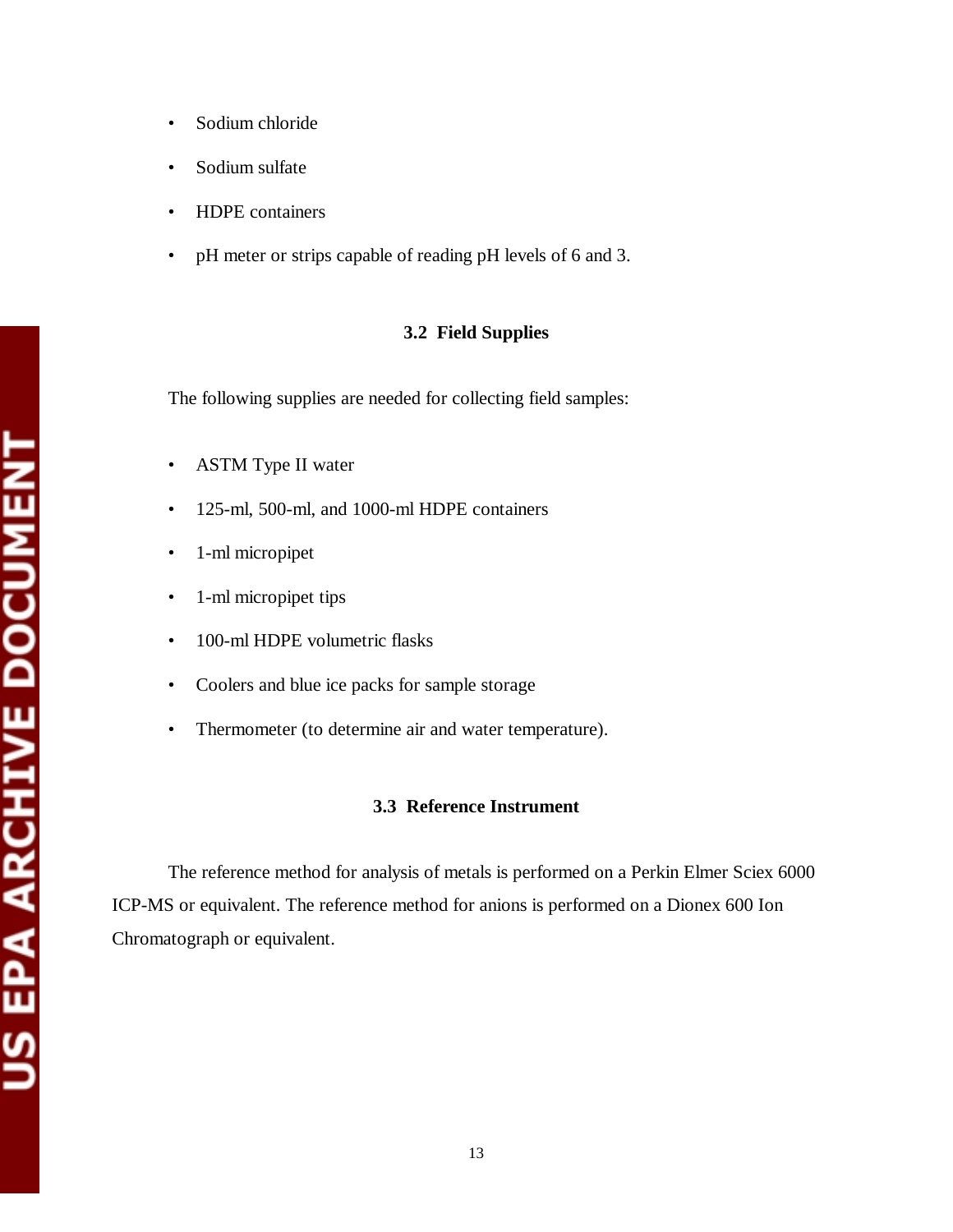- Sodium chloride
- Sodium sulfate
- HDPE containers
- pH meter or strips capable of reading pH levels of 6 and 3.

#### **3.2 Field Supplies**

The following supplies are needed for collecting field samples:

- ASTM Type II water
- 125-ml, 500-ml, and 1000-ml HDPE containers
- 1-ml micropipet
- 1-ml micropipet tips
- 100-ml HDPE volumetric flasks
- Coolers and blue ice packs for sample storage
- Thermometer (to determine air and water temperature).

## **3.3 Reference Instrument**

The reference method for analysis of metals is performed on a Perkin Elmer Sciex 6000 ICP-MS or equivalent. The reference method for anions is performed on a Dionex 600 Ion Chromatograph or equivalent.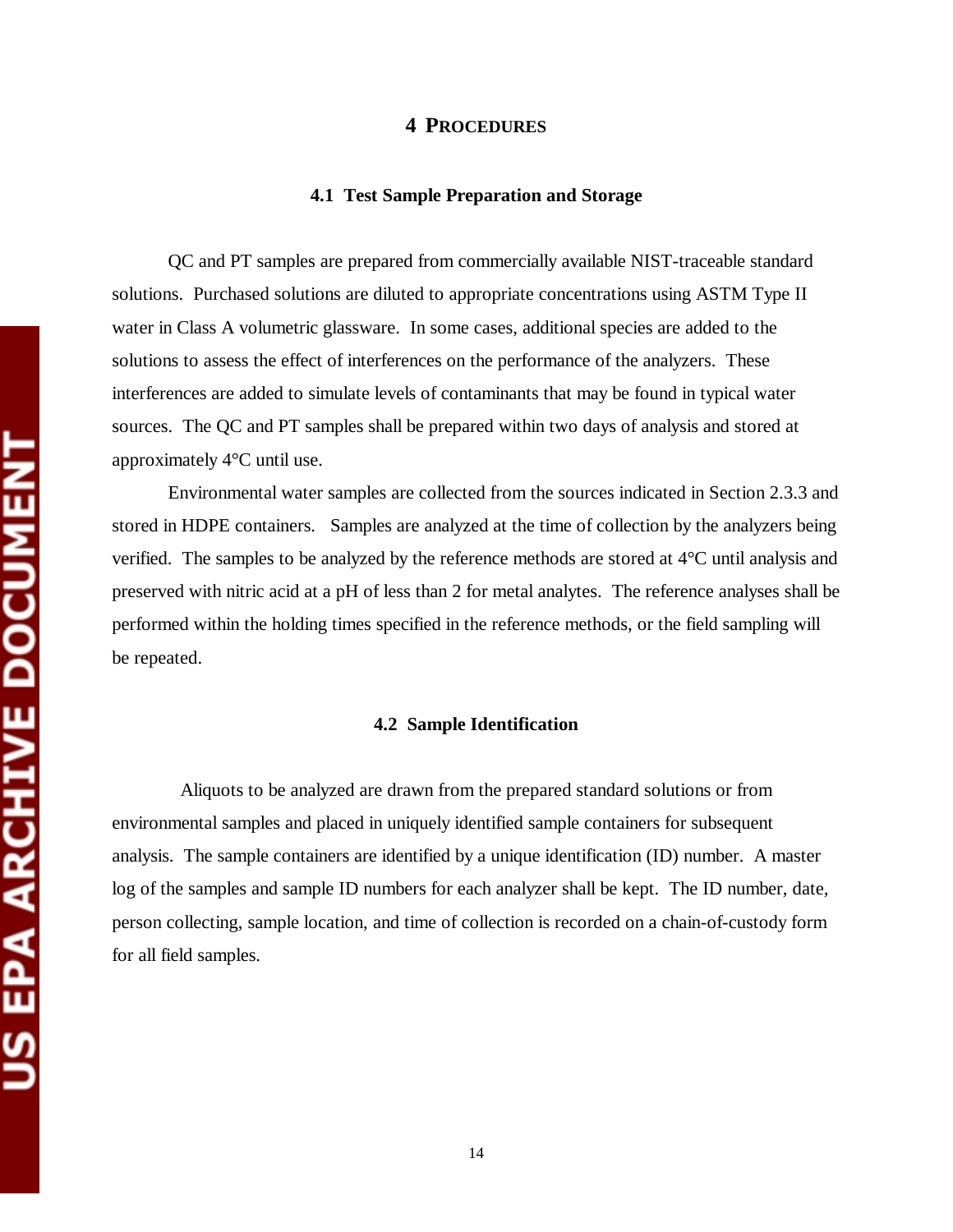#### **4 PROCEDURES**

#### **4.1 Test Sample Preparation and Storage**

QC and PT samples are prepared from commercially available NIST-traceable standard solutions. Purchased solutions are diluted to appropriate concentrations using ASTM Type II water in Class A volumetric glassware. In some cases, additional species are added to the solutions to assess the effect of interferences on the performance of the analyzers. These interferences are added to simulate levels of contaminants that may be found in typical water sources. The QC and PT samples shall be prepared within two days of analysis and stored at approximately 4°C until use.

Environmental water samples are collected from the sources indicated in Section 2.3.3 and stored in HDPE containers. Samples are analyzed at the time of collection by the analyzers being verified. The samples to be analyzed by the reference methods are stored at 4°C until analysis and preserved with nitric acid at a pH of less than 2 for metal analytes. The reference analyses shall be performed within the holding times specified in the reference methods, or the field sampling will be repeated.

#### **4.2 Sample Identification**

Aliquots to be analyzed are drawn from the prepared standard solutions or from environmental samples and placed in uniquely identified sample containers for subsequent analysis. The sample containers are identified by a unique identification (ID) number. A master log of the samples and sample ID numbers for each analyzer shall be kept. The ID number, date, person collecting, sample location, and time of collection is recorded on a chain-of-custody form for all field samples.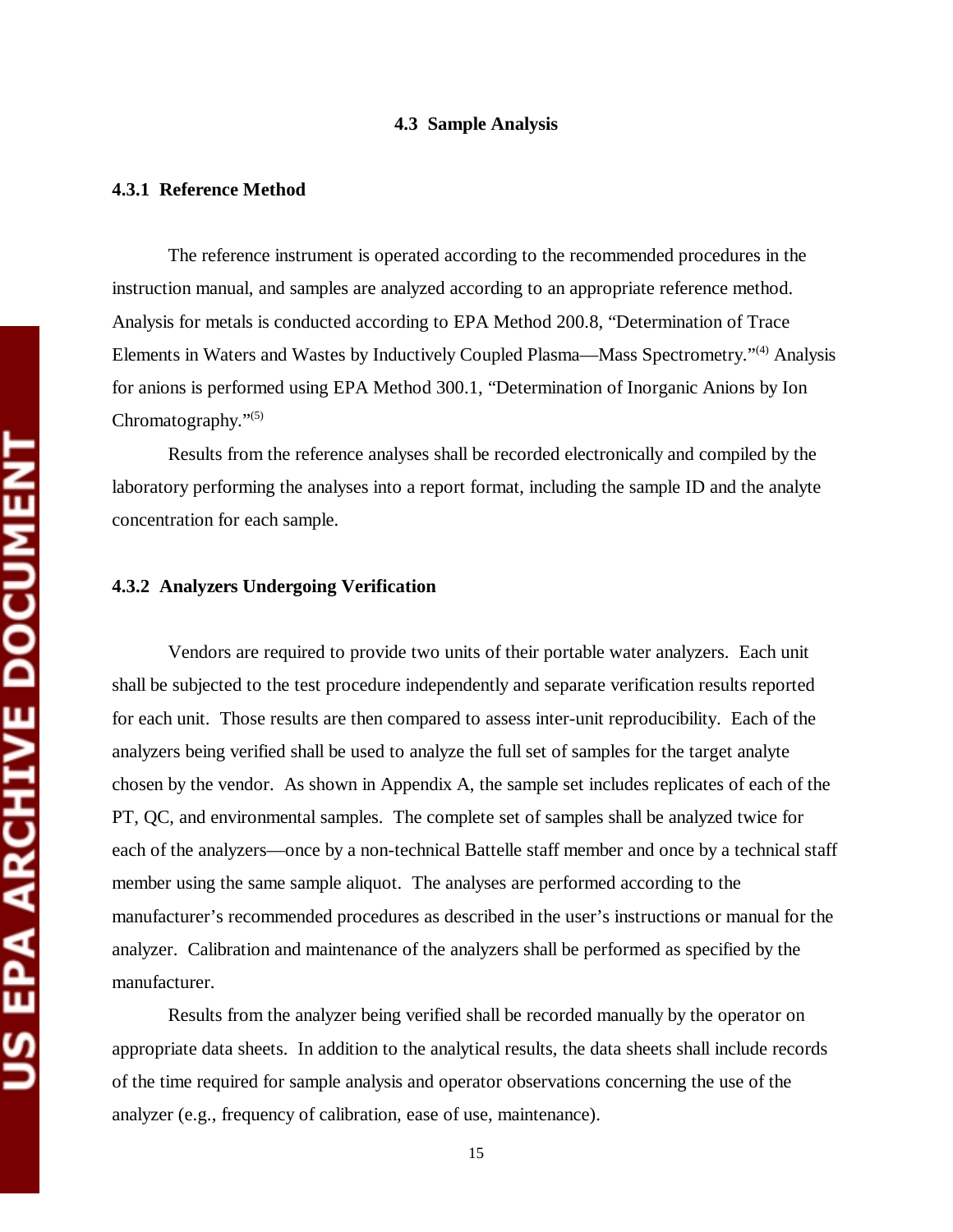#### **4.3 Sample Analysis**

#### **4.3.1 Reference Method**

The reference instrument is operated according to the recommended procedures in the instruction manual, and samples are analyzed according to an appropriate reference method. Analysis for metals is conducted according to EPA Method 200.8, "Determination of Trace Elements in Waters and Wastes by Inductively Coupled Plasma—Mass Spectrometry."(4) Analysis for anions is performed using EPA Method 300.1, "Determination of Inorganic Anions by Ion Chromatography."(5)

Results from the reference analyses shall be recorded electronically and compiled by the laboratory performing the analyses into a report format, including the sample ID and the analyte concentration for each sample.

#### **4.3.2 Analyzers Undergoing Verification**

Vendors are required to provide two units of their portable water analyzers. Each unit shall be subjected to the test procedure independently and separate verification results reported for each unit. Those results are then compared to assess inter-unit reproducibility. Each of the analyzers being verified shall be used to analyze the full set of samples for the target analyte chosen by the vendor. As shown in Appendix A, the sample set includes replicates of each of the PT, QC, and environmental samples. The complete set of samples shall be analyzed twice for each of the analyzers—once by a non-technical Battelle staff member and once by a technical staff member using the same sample aliquot. The analyses are performed according to the manufacturer's recommended procedures as described in the user's instructions or manual for the analyzer. Calibration and maintenance of the analyzers shall be performed as specified by the manufacturer.

Results from the analyzer being verified shall be recorded manually by the operator on appropriate data sheets. In addition to the analytical results, the data sheets shall include records of the time required for sample analysis and operator observations concerning the use of the analyzer (e.g., frequency of calibration, ease of use, maintenance).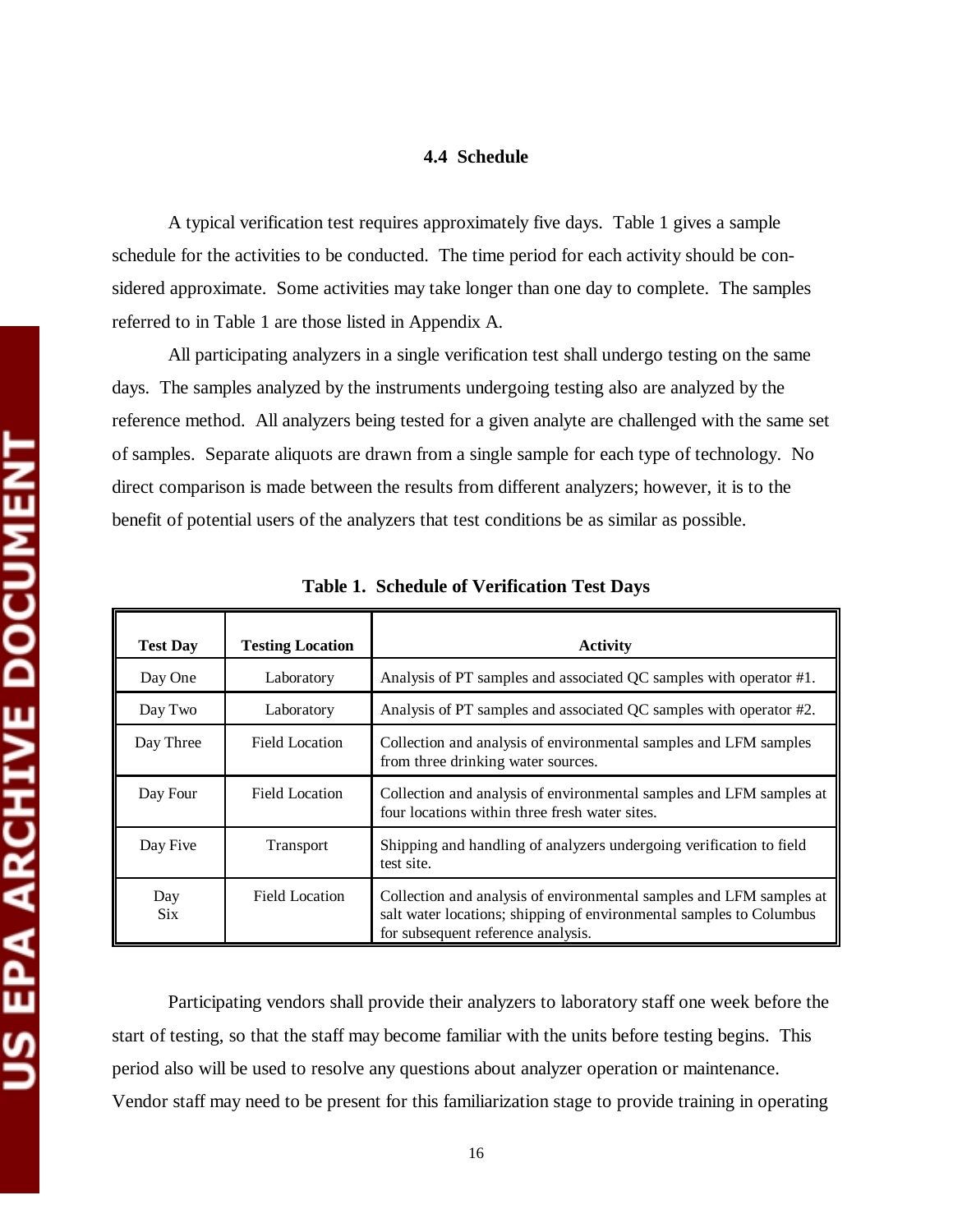#### **4.4 Schedule**

A typical verification test requires approximately five days. Table 1 gives a sample schedule for the activities to be conducted. The time period for each activity should be considered approximate. Some activities may take longer than one day to complete. The samples referred to in Table 1 are those listed in Appendix A.

All participating analyzers in a single verification test shall undergo testing on the same days. The samples analyzed by the instruments undergoing testing also are analyzed by the reference method. All analyzers being tested for a given analyte are challenged with the same set of samples. Separate aliquots are drawn from a single sample for each type of technology. No direct comparison is made between the results from different analyzers; however, it is to the benefit of potential users of the analyzers that test conditions be as similar as possible.

| <b>Test Day</b>   | <b>Testing Location</b> | <b>Activity</b>                                                                                                                                                                  |
|-------------------|-------------------------|----------------------------------------------------------------------------------------------------------------------------------------------------------------------------------|
| Day One           | Laboratory              | Analysis of PT samples and associated QC samples with operator #1.                                                                                                               |
| Day Two           | Laboratory              | Analysis of PT samples and associated QC samples with operator #2.                                                                                                               |
| Day Three         | <b>Field Location</b>   | Collection and analysis of environmental samples and LFM samples<br>from three drinking water sources.                                                                           |
| Day Four          | Field Location          | Collection and analysis of environmental samples and LFM samples at<br>four locations within three fresh water sites.                                                            |
| Day Five          | Transport               | Shipping and handling of analyzers undergoing verification to field<br>test site.                                                                                                |
| Day<br><b>Six</b> | <b>Field Location</b>   | Collection and analysis of environmental samples and LFM samples at<br>salt water locations; shipping of environmental samples to Columbus<br>for subsequent reference analysis. |

**Table 1. Schedule of Verification Test Days** 

Participating vendors shall provide their analyzers to laboratory staff one week before the start of testing, so that the staff may become familiar with the units before testing begins. This period also will be used to resolve any questions about analyzer operation or maintenance. Vendor staff may need to be present for this familiarization stage to provide training in operating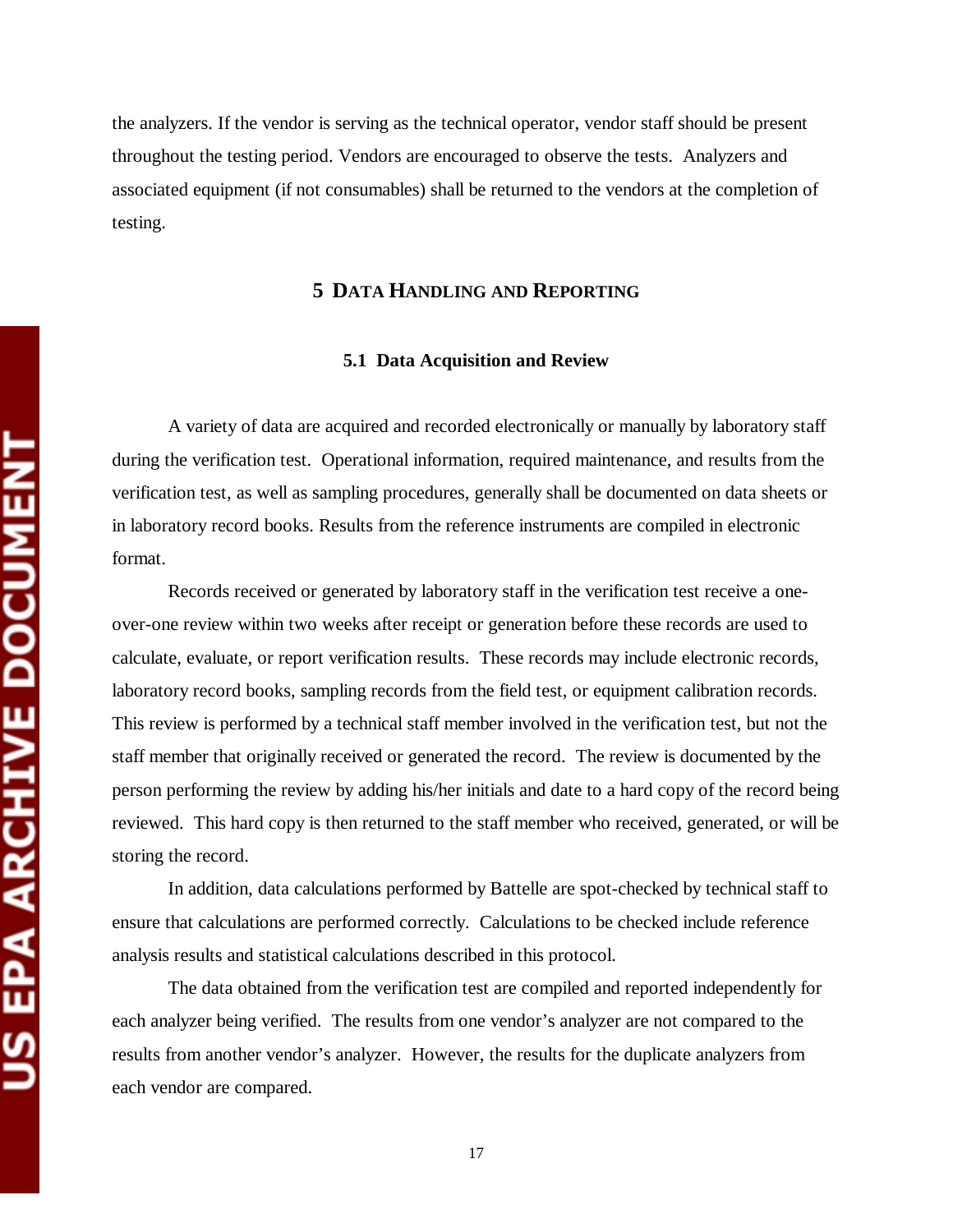the analyzers. If the vendor is serving as the technical operator, vendor staff should be present throughout the testing period. Vendors are encouraged to observe the tests. Analyzers and associated equipment (if not consumables) shall be returned to the vendors at the completion of testing.

#### **5 DATA HANDLING AND REPORTING**

#### **5.1 Data Acquisition and Review**

A variety of data are acquired and recorded electronically or manually by laboratory staff during the verification test. Operational information, required maintenance, and results from the verification test, as well as sampling procedures, generally shall be documented on data sheets or in laboratory record books. Results from the reference instruments are compiled in electronic format.

Records received or generated by laboratory staff in the verification test receive a oneover-one review within two weeks after receipt or generation before these records are used to calculate, evaluate, or report verification results. These records may include electronic records, laboratory record books, sampling records from the field test, or equipment calibration records. This review is performed by a technical staff member involved in the verification test, but not the staff member that originally received or generated the record. The review is documented by the person performing the review by adding his/her initials and date to a hard copy of the record being reviewed. This hard copy is then returned to the staff member who received, generated, or will be storing the record.

In addition, data calculations performed by Battelle are spot-checked by technical staff to ensure that calculations are performed correctly. Calculations to be checked include reference analysis results and statistical calculations described in this protocol.

The data obtained from the verification test are compiled and reported independently for each analyzer being verified. The results from one vendor's analyzer are not compared to the results from another vendor's analyzer. However, the results for the duplicate analyzers from each vendor are compared.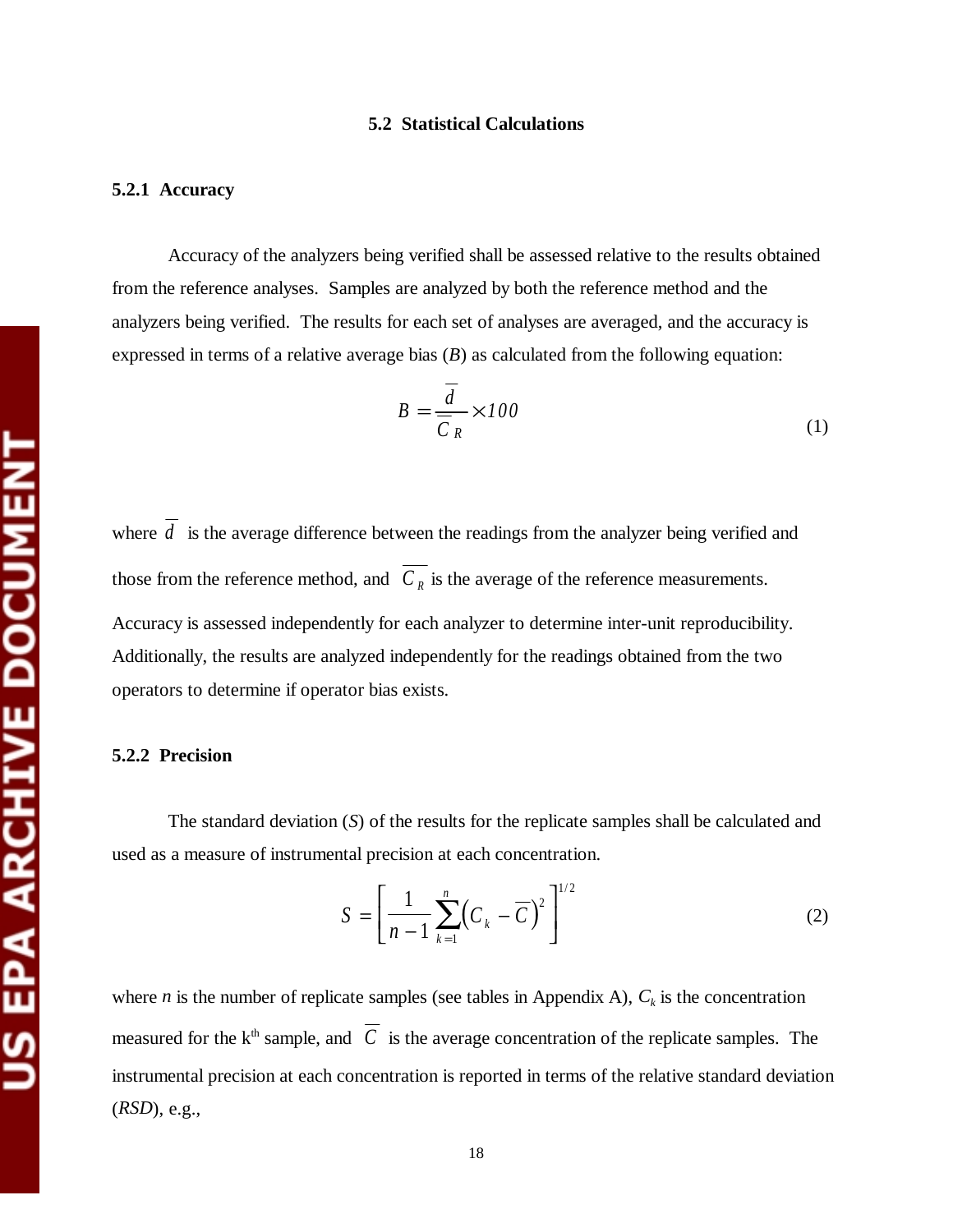#### **5.2 Statistical Calculations**

#### **5.2.1 Accuracy**

Accuracy of the analyzers being verified shall be assessed relative to the results obtained from the reference analyses. Samples are analyzed by both the reference method and the analyzers being verified. The results for each set of analyses are averaged, and the accuracy is expressed in terms of a relative average bias (*B*) as calculated from the following equation:

$$
B = \frac{d}{\overline{C}_R} \times 100\tag{1}
$$

where  $\overline{d}$  is the average difference between the readings from the analyzer being verified and those from the reference method, and  $\overline{C_R}$  is the average of the reference measurements. Accuracy is assessed independently for each analyzer to determine inter-unit reproducibility. Additionally, the results are analyzed independently for the readings obtained from the two operators to determine if operator bias exists.

#### **5.2.2 Precision**

The standard deviation (*S*) of the results for the replicate samples shall be calculated and used as a measure of instrumental precision at each concentration.

$$
S = \left[\frac{1}{n-1} \sum_{k=1}^{n} \left(C_k - \overline{C}\right)^2\right]^{1/2} \tag{2}
$$

where *n* is the number of replicate samples (see tables in Appendix A),  $C_k$  is the concentration measured for the k<sup>th</sup> sample, and  $\overline{C}$  is the average concentration of the replicate samples. The instrumental precision at each concentration is reported in terms of the relative standard deviation (*RSD*), e.g.,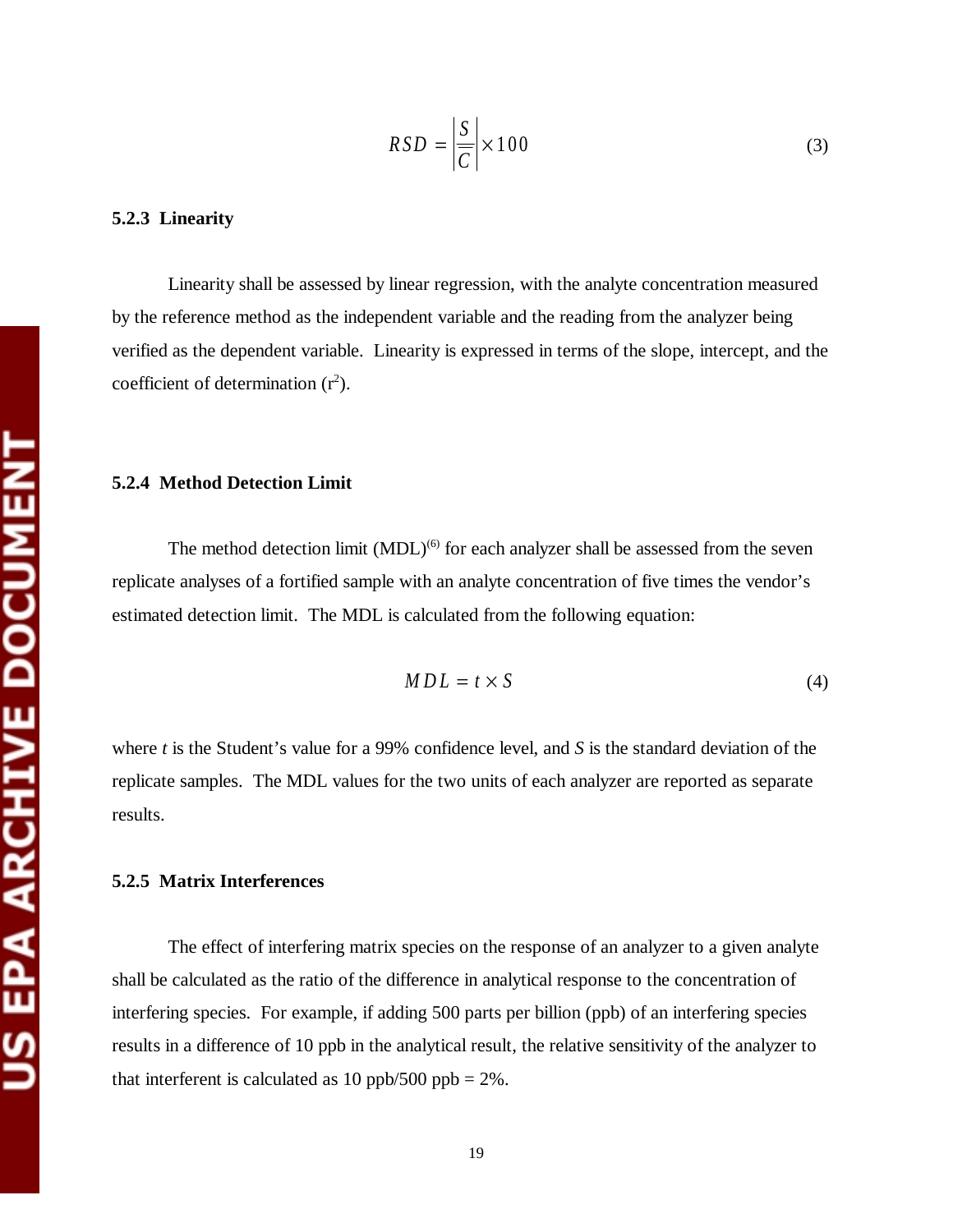#### **5.2.3 Linearity**

Linearity shall be assessed by linear regression, with the analyte concentration measured by the reference method as the independent variable and the reading from the analyzer being verified as the dependent variable. Linearity is expressed in terms of the slope, intercept, and the coefficient of determination  $(r^2)$ .

#### **5.2.4 Method Detection Limit**

The method detection limit  $(MDL)^{(6)}$  for each analyzer shall be assessed from the seven replicate analyses of a fortified sample with an analyte concentration of five times the vendor's estimated detection limit. The MDL is calculated from the following equation:

$$
MDL = t \times S \tag{4}
$$

where *t* is the Student's value for a 99% confidence level, and *S* is the standard deviation of the replicate samples. The MDL values for the two units of each analyzer are reported as separate results.

#### **5.2.5 Matrix Interferences**

The effect of interfering matrix species on the response of an analyzer to a given analyte shall be calculated as the ratio of the difference in analytical response to the concentration of interfering species. For example, if adding 500 parts per billion (ppb) of an interfering species results in a difference of 10 ppb in the analytical result, the relative sensitivity of the analyzer to that interferent is calculated as 10 ppb/500 ppb =  $2\%$ .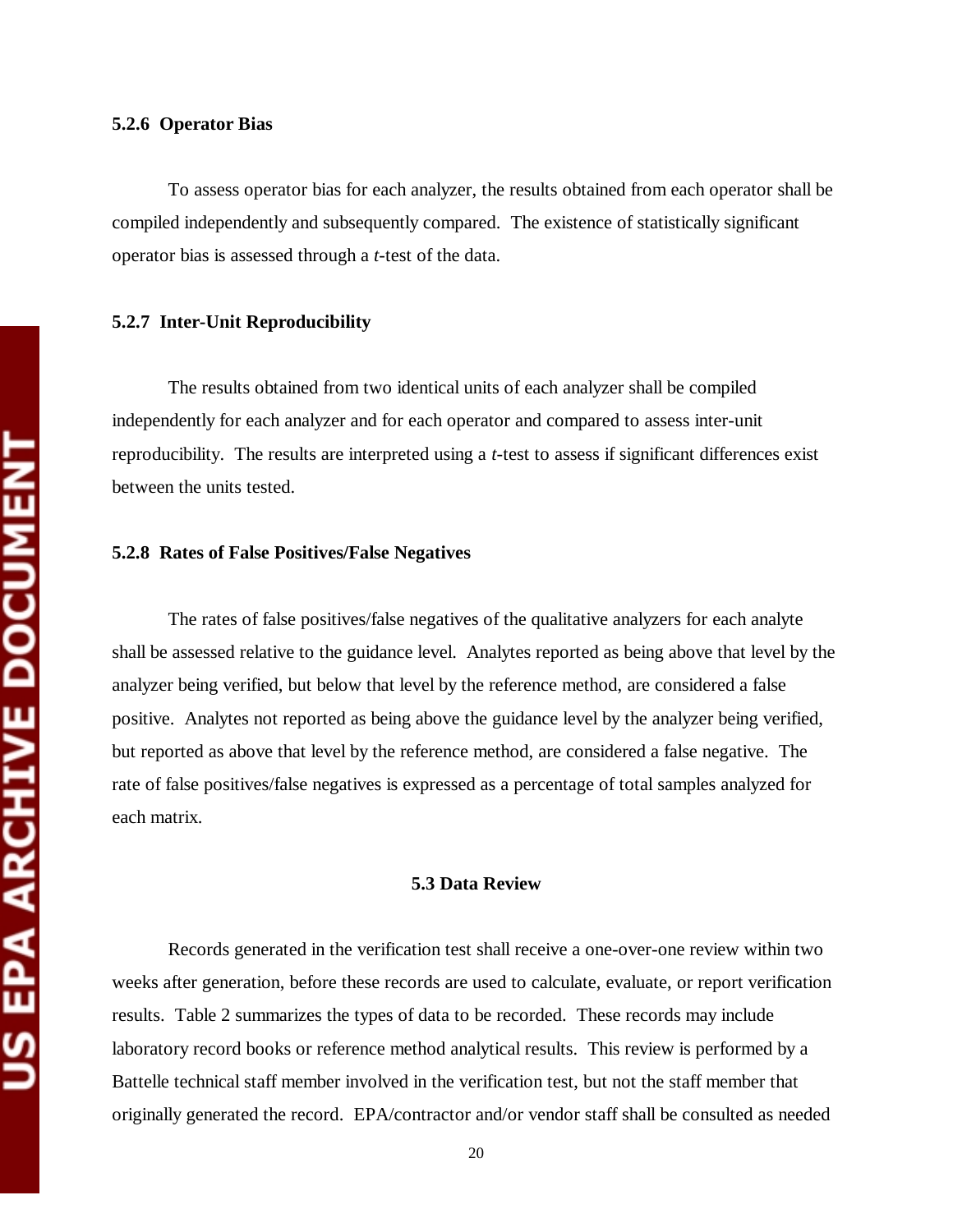#### **5.2.6 Operator Bias**

To assess operator bias for each analyzer, the results obtained from each operator shall be compiled independently and subsequently compared. The existence of statistically significant operator bias is assessed through a *t*-test of the data.

#### **5.2.7 Inter-Unit Reproducibility**

The results obtained from two identical units of each analyzer shall be compiled independently for each analyzer and for each operator and compared to assess inter-unit reproducibility. The results are interpreted using a *t*-test to assess if significant differences exist between the units tested.

#### **5.2.8 Rates of False Positives/False Negatives**

The rates of false positives/false negatives of the qualitative analyzers for each analyte shall be assessed relative to the guidance level. Analytes reported as being above that level by the analyzer being verified, but below that level by the reference method, are considered a false positive. Analytes not reported as being above the guidance level by the analyzer being verified, but reported as above that level by the reference method, are considered a false negative. The rate of false positives/false negatives is expressed as a percentage of total samples analyzed for each matrix.

#### **5.3 Data Review**

Records generated in the verification test shall receive a one-over-one review within two weeks after generation, before these records are used to calculate, evaluate, or report verification results. Table 2 summarizes the types of data to be recorded. These records may include laboratory record books or reference method analytical results. This review is performed by a Battelle technical staff member involved in the verification test, but not the staff member that originally generated the record. EPA/contractor and/or vendor staff shall be consulted as needed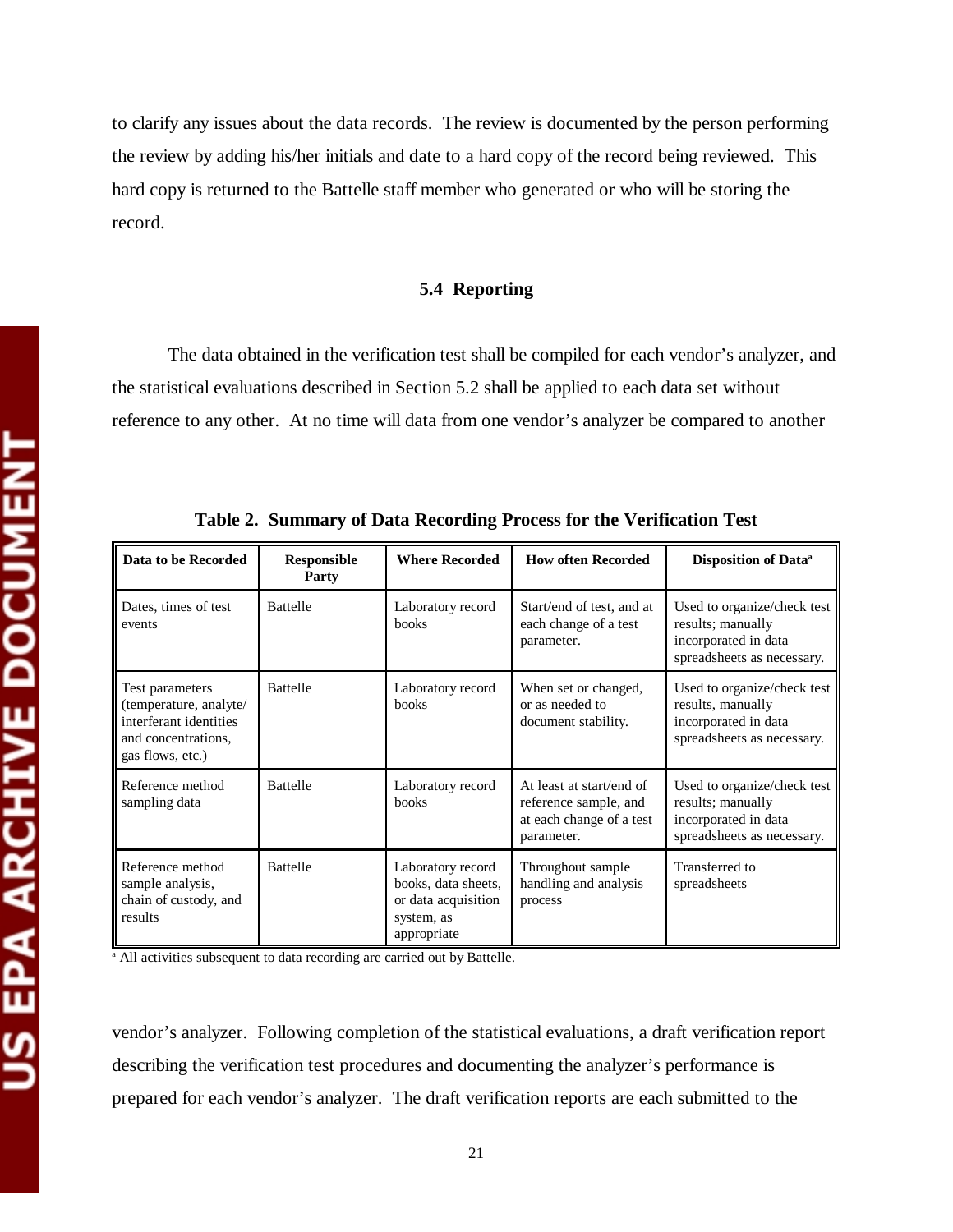to clarify any issues about the data records. The review is documented by the person performing the review by adding his/her initials and date to a hard copy of the record being reviewed. This hard copy is returned to the Battelle staff member who generated or who will be storing the record.

#### **5.4 Reporting**

The data obtained in the verification test shall be compiled for each vendor's analyzer, and the statistical evaluations described in Section 5.2 shall be applied to each data set without reference to any other. At no time will data from one vendor's analyzer be compared to another

| Data to be Recorded                                                                                            | <b>Responsible</b><br>Party | <b>Where Recorded</b>                                                                        | <b>How often Recorded</b>                                                                   | Disposition of Data <sup>a</sup>                                                                       |
|----------------------------------------------------------------------------------------------------------------|-----------------------------|----------------------------------------------------------------------------------------------|---------------------------------------------------------------------------------------------|--------------------------------------------------------------------------------------------------------|
| Dates, times of test<br>events                                                                                 | <b>Battelle</b>             | Laboratory record<br><b>books</b>                                                            | Start/end of test, and at<br>each change of a test<br>parameter.                            | Used to organize/check test<br>results; manually<br>incorporated in data<br>spreadsheets as necessary. |
| Test parameters<br>(temperature, analyte/<br>interferant identities<br>and concentrations.<br>gas flows, etc.) | <b>Battelle</b>             | Laboratory record<br><b>books</b>                                                            | When set or changed,<br>or as needed to<br>document stability.                              | Used to organize/check test<br>results, manually<br>incorporated in data<br>spreadsheets as necessary. |
| Reference method<br>sampling data                                                                              | <b>Battelle</b>             | Laboratory record<br>books                                                                   | At least at start/end of<br>reference sample, and<br>at each change of a test<br>parameter. | Used to organize/check test<br>results; manually<br>incorporated in data<br>spreadsheets as necessary. |
| Reference method<br>sample analysis,<br>chain of custody, and<br>results                                       | <b>Battelle</b>             | Laboratory record<br>books, data sheets,<br>or data acquisition<br>system, as<br>appropriate | Throughout sample<br>handling and analysis<br>process                                       | Transferred to<br>spreadsheets                                                                         |

**Table 2. Summary of Data Recording Process for the Verification Test** 

<sup>a</sup> All activities subsequent to data recording are carried out by Battelle.

vendor's analyzer. Following completion of the statistical evaluations, a draft verification report describing the verification test procedures and documenting the analyzer's performance is prepared for each vendor's analyzer. The draft verification reports are each submitted to the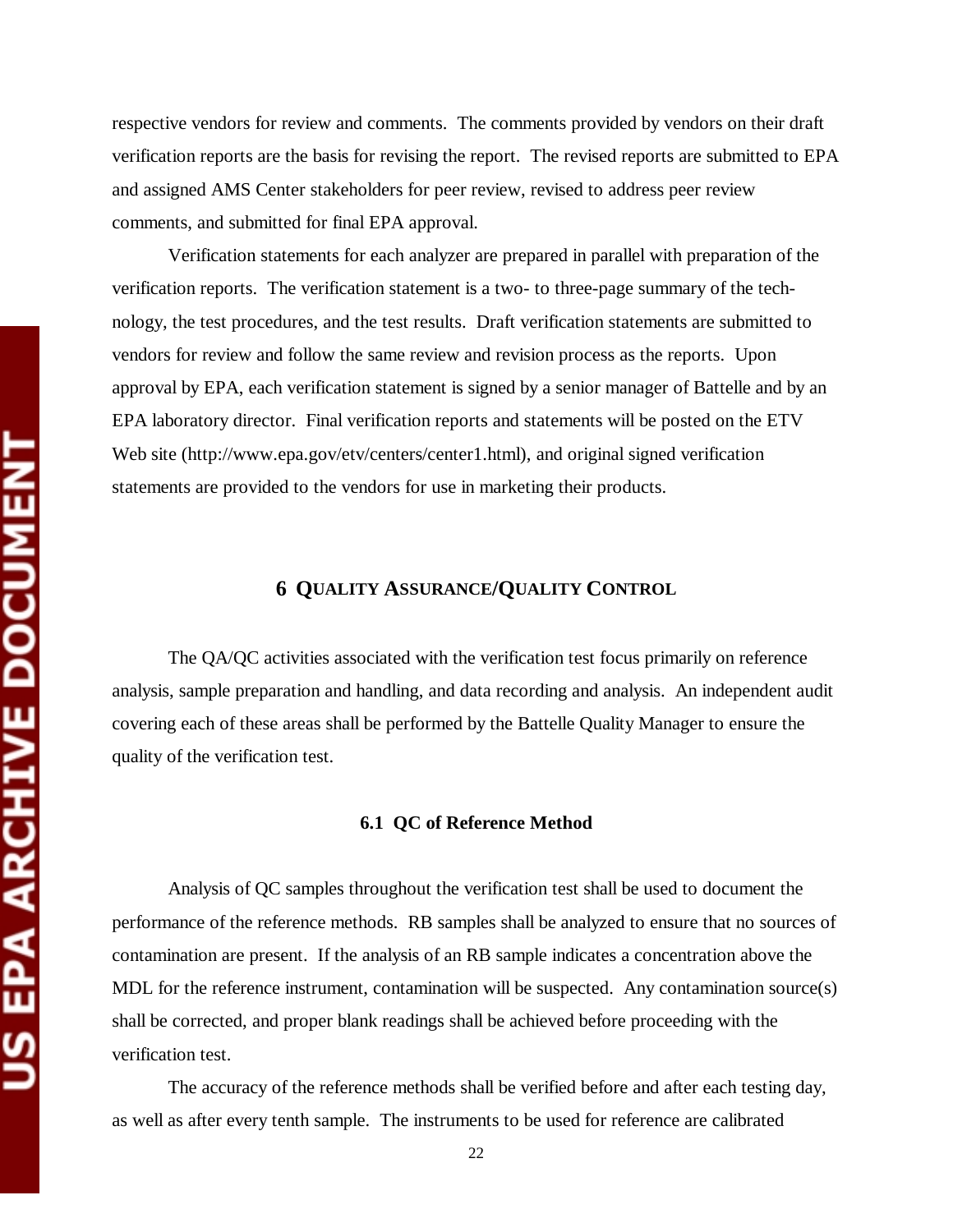respective vendors for review and comments. The comments provided by vendors on their draft verification reports are the basis for revising the report. The revised reports are submitted to EPA and assigned AMS Center stakeholders for peer review, revised to address peer review comments, and submitted for final EPA approval.

Verification statements for each analyzer are prepared in parallel with preparation of the verification reports. The verification statement is a two- to three-page summary of the technology, the test procedures, and the test results. Draft verification statements are submitted to vendors for review and follow the same review and revision process as the reports. Upon approval by EPA, each verification statement is signed by a senior manager of Battelle and by an EPA laboratory director. Final verification reports and statements will be posted on the ETV Web site (http://www.epa.gov/etv/centers/center1.html), and original signed verification statements are provided to the vendors for use in marketing their products.

# **6 QUALITY ASSURANCE/QUALITY CONTROL**

The QA/QC activities associated with the verification test focus primarily on reference analysis, sample preparation and handling, and data recording and analysis. An independent audit covering each of these areas shall be performed by the Battelle Quality Manager to ensure the quality of the verification test.

#### **6.1 QC of Reference Method**

Analysis of QC samples throughout the verification test shall be used to document the performance of the reference methods. RB samples shall be analyzed to ensure that no sources of contamination are present. If the analysis of an RB sample indicates a concentration above the MDL for the reference instrument, contamination will be suspected. Any contamination source(s) shall be corrected, and proper blank readings shall be achieved before proceeding with the verification test.

The accuracy of the reference methods shall be verified before and after each testing day, as well as after every tenth sample. The instruments to be used for reference are calibrated

22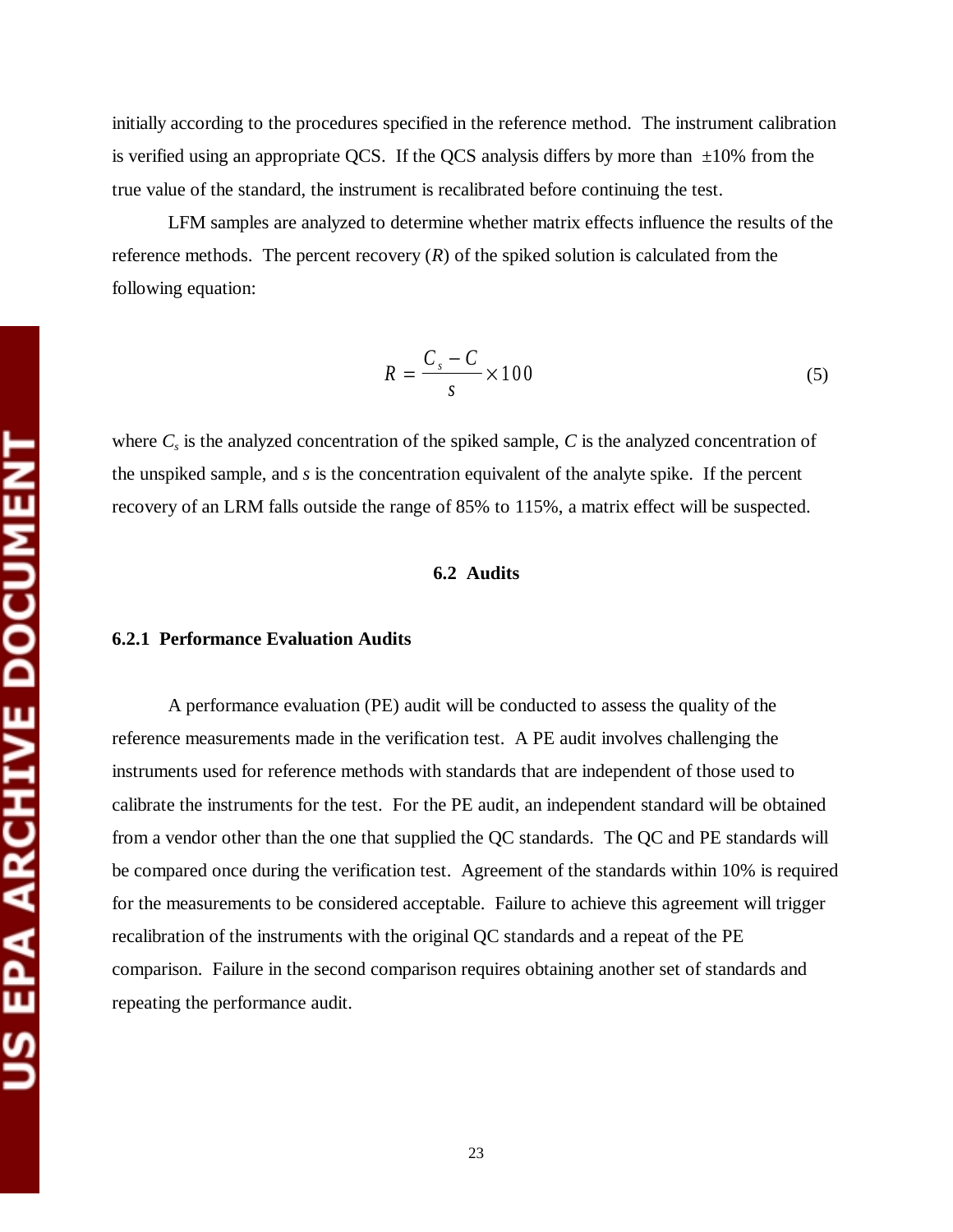initially according to the procedures specified in the reference method. The instrument calibration is verified using an appropriate QCS. If the QCS analysis differs by more than  $\pm 10\%$  from the true value of the standard, the instrument is recalibrated before continuing the test.

LFM samples are analyzed to determine whether matrix effects influence the results of the reference methods. The percent recovery  $(R)$  of the spiked solution is calculated from the following equation:

$$
R = \frac{C_s - C}{s} \times 100\tag{5}
$$

where  $C_s$  is the analyzed concentration of the spiked sample,  $C$  is the analyzed concentration of the unspiked sample, and *s* is the concentration equivalent of the analyte spike. If the percent recovery of an LRM falls outside the range of 85% to 115%, a matrix effect will be suspected.

## **6.2 Audits**

#### **6.2.1 Performance Evaluation Audits**

A performance evaluation (PE) audit will be conducted to assess the quality of the reference measurements made in the verification test. A PE audit involves challenging the instruments used for reference methods with standards that are independent of those used to calibrate the instruments for the test. For the PE audit, an independent standard will be obtained from a vendor other than the one that supplied the QC standards. The QC and PE standards will be compared once during the verification test. Agreement of the standards within 10% is required for the measurements to be considered acceptable. Failure to achieve this agreement will trigger recalibration of the instruments with the original QC standards and a repeat of the PE comparison. Failure in the second comparison requires obtaining another set of standards and repeating the performance audit.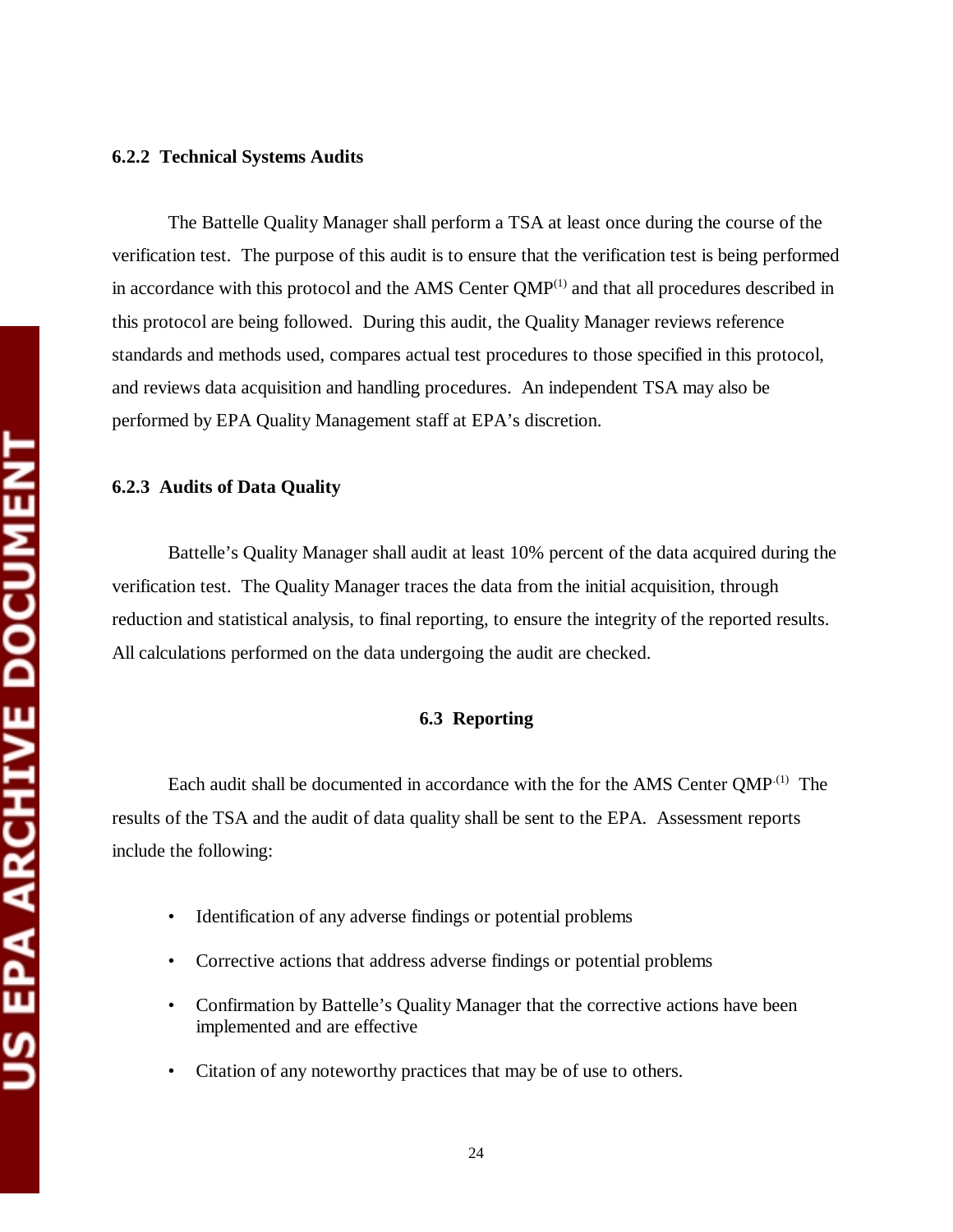#### **6.2.2 Technical Systems Audits**

The Battelle Quality Manager shall perform a TSA at least once during the course of the verification test. The purpose of this audit is to ensure that the verification test is being performed in accordance with this protocol and the AMS Center  $QMP<sup>(1)</sup>$  and that all procedures described in this protocol are being followed. During this audit, the Quality Manager reviews reference standards and methods used, compares actual test procedures to those specified in this protocol, and reviews data acquisition and handling procedures. An independent TSA may also be performed by EPA Quality Management staff at EPA's discretion.

#### **6.2.3 Audits of Data Quality**

Battelle's Quality Manager shall audit at least 10% percent of the data acquired during the verification test. The Quality Manager traces the data from the initial acquisition, through reduction and statistical analysis, to final reporting, to ensure the integrity of the reported results. All calculations performed on the data undergoing the audit are checked.

#### **6.3 Reporting**

Each audit shall be documented in accordance with the for the AMS Center QMP<sup>.(1)</sup> The results of the TSA and the audit of data quality shall be sent to the EPA. Assessment reports include the following:

- Identification of any adverse findings or potential problems
- • Corrective actions that address adverse findings or potential problems
- Confirmation by Battelle's Quality Manager that the corrective actions have been implemented and are effective
- Citation of any noteworthy practices that may be of use to others.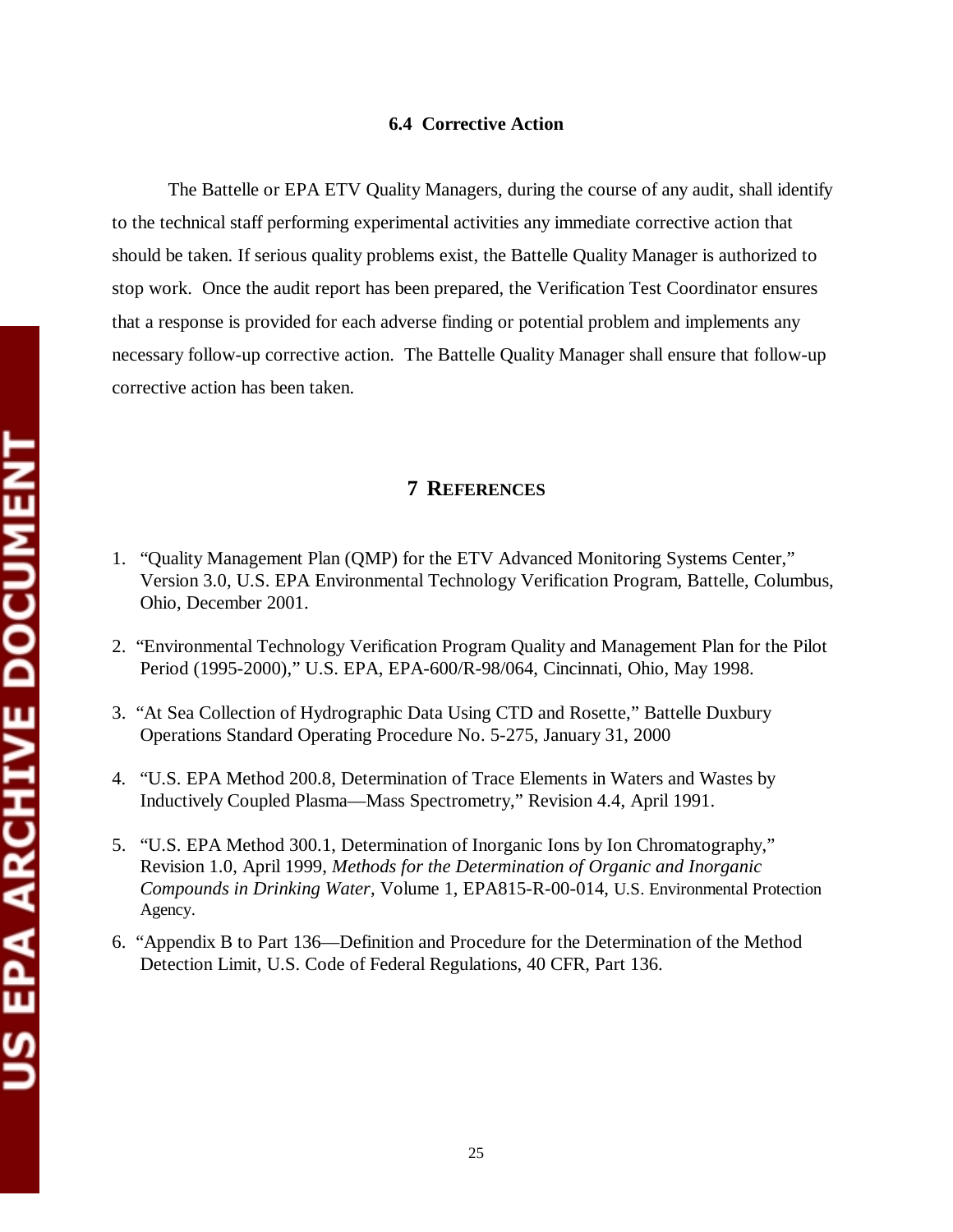#### **6.4 Corrective Action**

The Battelle or EPA ETV Quality Managers, during the course of any audit, shall identify to the technical staff performing experimental activities any immediate corrective action that should be taken. If serious quality problems exist, the Battelle Quality Manager is authorized to stop work. Once the audit report has been prepared, the Verification Test Coordinator ensures that a response is provided for each adverse finding or potential problem and implements any necessary follow-up corrective action. The Battelle Quality Manager shall ensure that follow-up corrective action has been taken.

#### **7 REFERENCES**

- 1. "Quality Management Plan (QMP) for the ETV Advanced Monitoring Systems Center," Version 3.0, U.S. EPA Environmental Technology Verification Program, Battelle, Columbus, Ohio, December 2001.
- 2. "Environmental Technology Verification Program Quality and Management Plan for the Pilot Period (1995-2000)," U.S. EPA, EPA-600/R-98/064, Cincinnati, Ohio, May 1998.
- 3. "At Sea Collection of Hydrographic Data Using CTD and Rosette," Battelle Duxbury Operations Standard Operating Procedure No. 5-275, January 31, 2000
- 4. "U.S. EPA Method 200.8, Determination of Trace Elements in Waters and Wastes by Inductively Coupled Plasma—Mass Spectrometry," Revision 4.4, April 1991.
- 5. "U.S. EPA Method 300.1, Determination of Inorganic Ions by Ion Chromatography," Revision 1.0, April 1999, *Methods for the Determination of Organic and Inorganic Compounds in Drinking Water*, Volume 1, EPA815-R-00-014, U.S. Environmental Protection Agency.
- 6. "Appendix B to Part 136—Definition and Procedure for the Determination of the Method Detection Limit, U.S. Code of Federal Regulations, 40 CFR, Part 136.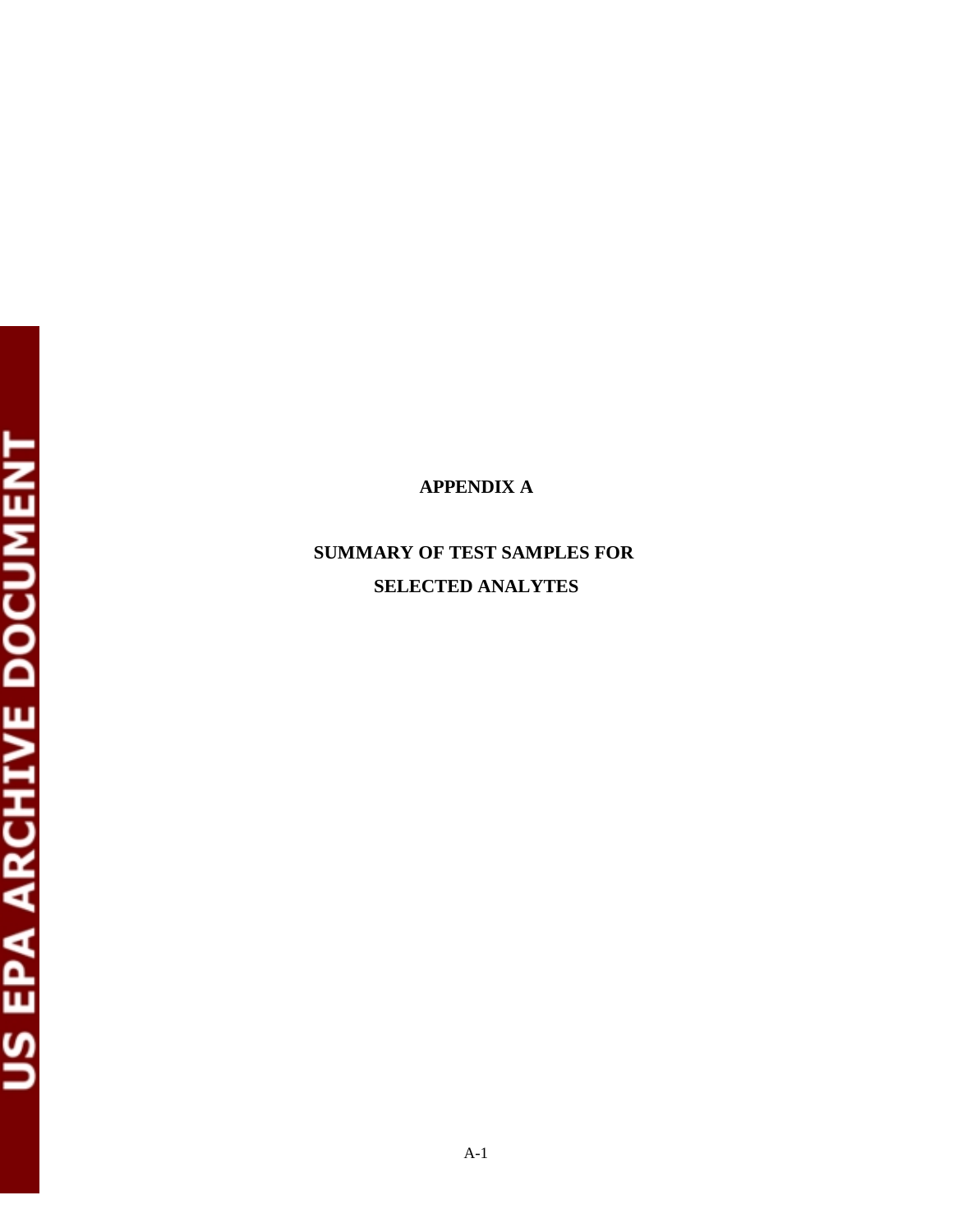# **APPENDIX A**

# **SUMMARY OF TEST SAMPLES FOR SELECTED ANALYTES**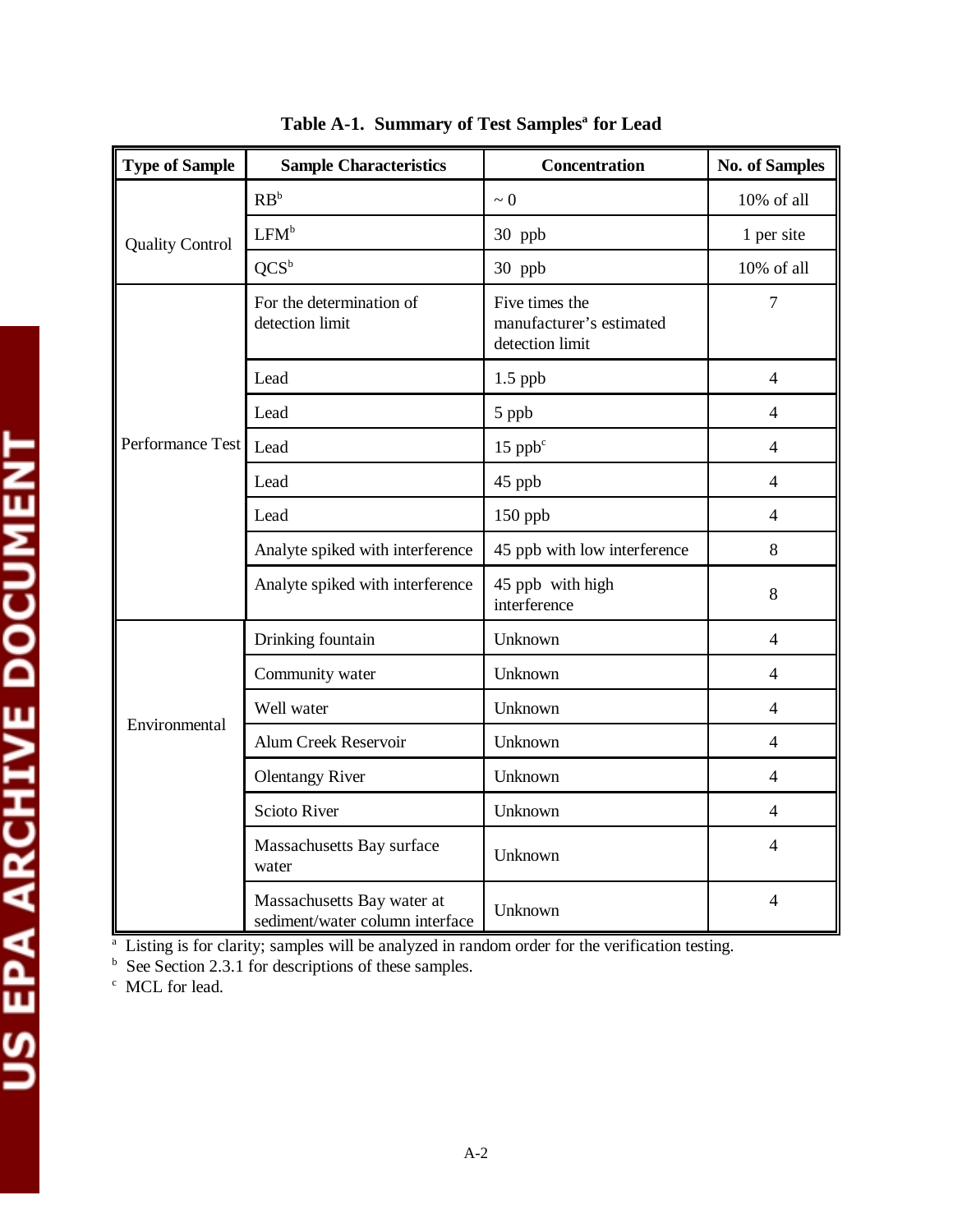| <b>Type of Sample</b>  | <b>Sample Characteristics</b>                                 | Concentration                                                 | <b>No. of Samples</b> |
|------------------------|---------------------------------------------------------------|---------------------------------------------------------------|-----------------------|
|                        | $RB^b$                                                        | $\sim 0$                                                      | 10% of all            |
| <b>Quality Control</b> | LFM <sup>b</sup>                                              | 30 ppb                                                        | 1 per site            |
|                        | OCS <sup>b</sup>                                              | 30 ppb                                                        | 10% of all            |
|                        | For the determination of<br>detection limit                   | Five times the<br>manufacturer's estimated<br>detection limit | $\tau$                |
|                        | Lead                                                          | $1.5$ ppb                                                     | $\overline{4}$        |
|                        | Lead                                                          | 5 ppb                                                         | 4                     |
| Performance Test       | Lead                                                          | $15$ pp $b^c$                                                 | $\overline{4}$        |
|                        | Lead                                                          | 45 ppb                                                        | $\overline{4}$        |
|                        | Lead                                                          | 150 ppb                                                       | $\overline{4}$        |
|                        | Analyte spiked with interference                              | 45 ppb with low interference                                  | 8                     |
|                        | Analyte spiked with interference                              | 45 ppb with high<br>interference                              | 8                     |
|                        | Drinking fountain                                             | Unknown                                                       | 4                     |
|                        | Community water                                               | Unknown                                                       | $\overline{4}$        |
|                        | Well water                                                    | Unknown                                                       | $\overline{4}$        |
| Environmental          | Alum Creek Reservoir                                          | Unknown                                                       | 4                     |
|                        | <b>Olentangy River</b>                                        | Unknown                                                       | $\overline{4}$        |
|                        | <b>Scioto River</b>                                           | Unknown                                                       | $\overline{4}$        |
|                        | Massachusetts Bay surface<br>water                            | Unknown                                                       | $\overline{4}$        |
|                        | Massachusetts Bay water at<br>sediment/water column interface | Unknown                                                       | $\overline{4}$        |

Table A-1. Summary of Test Samples<sup>a</sup> for Lead

<sup>a</sup> Listing is for clarity; samples will be analyzed in random order for the verification testing.<br><sup>b</sup> See Section 2.3.1 for descriptions of these samples.

<sup>c</sup> MCL for lead.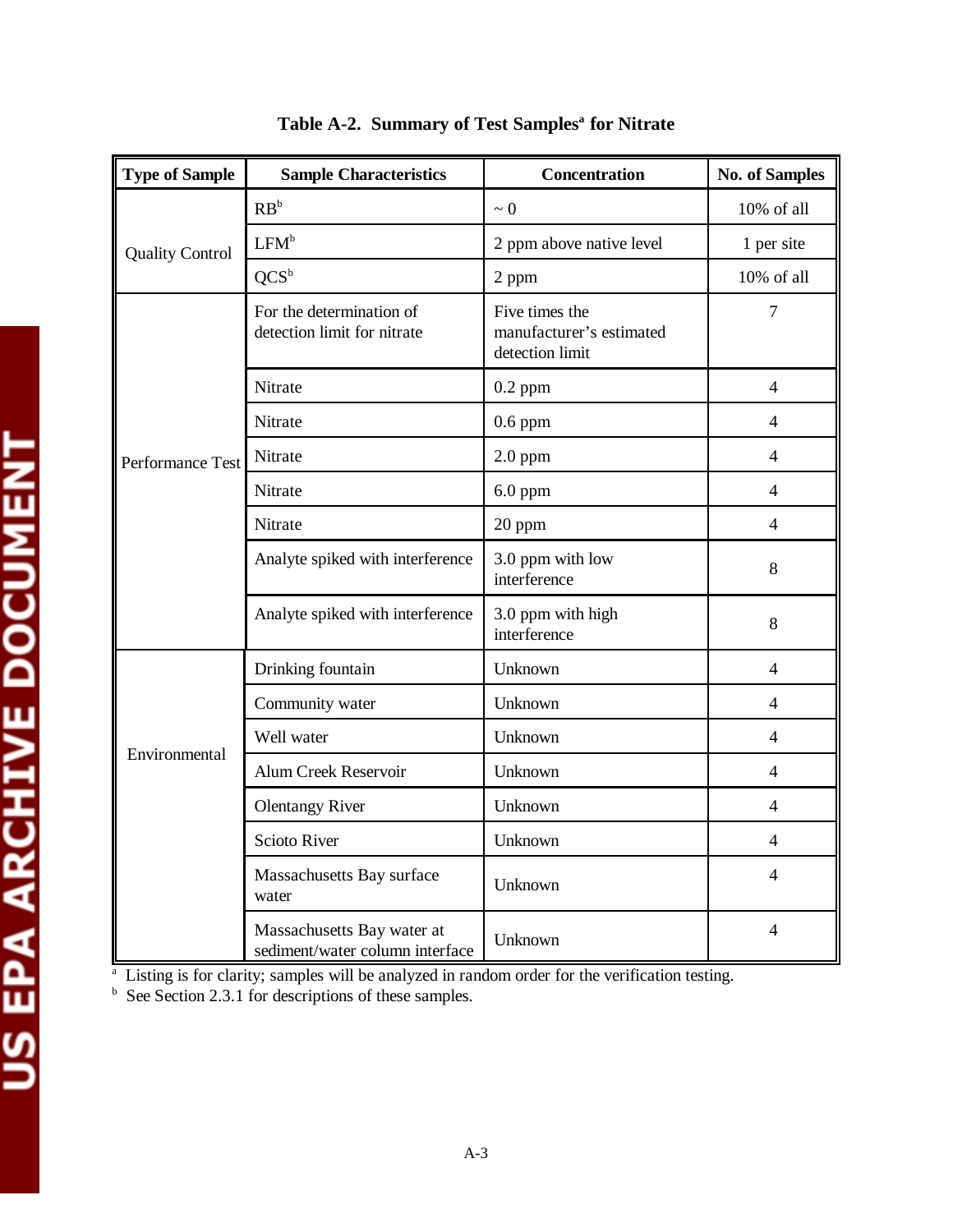| <b>Type of Sample</b>  | <b>Sample Characteristics</b>                                 | <b>Concentration</b>                                          | <b>No. of Samples</b> |
|------------------------|---------------------------------------------------------------|---------------------------------------------------------------|-----------------------|
|                        | $RB^b$                                                        | $\sim 0$                                                      | 10% of all            |
| <b>Quality Control</b> | LFM <sup>b</sup>                                              | 2 ppm above native level                                      | 1 per site            |
|                        | $QCS^b$                                                       | 2 ppm                                                         | 10% of all            |
|                        | For the determination of<br>detection limit for nitrate       | Five times the<br>manufacturer's estimated<br>detection limit | $\tau$                |
|                        | Nitrate                                                       | $0.2$ ppm                                                     | 4                     |
|                        | Nitrate                                                       | $0.6$ ppm                                                     | $\overline{4}$        |
| Performance Test       | Nitrate                                                       | $2.0$ ppm                                                     | $\overline{4}$        |
|                        | Nitrate                                                       | $6.0$ ppm                                                     | 4                     |
|                        | Nitrate                                                       | 20 ppm                                                        | 4                     |
|                        | Analyte spiked with interference                              | 3.0 ppm with low<br>interference                              | 8                     |
|                        | Analyte spiked with interference                              | 3.0 ppm with high<br>interference                             | 8                     |
|                        | Drinking fountain                                             | Unknown                                                       | $\overline{4}$        |
|                        | Community water                                               | Unknown                                                       | $\overline{4}$        |
|                        | Well water                                                    | Unknown                                                       | $\overline{4}$        |
| Environmental          | Alum Creek Reservoir                                          | Unknown                                                       | 4                     |
|                        | <b>Olentangy River</b>                                        | Unknown                                                       | $\overline{4}$        |
|                        | <b>Scioto River</b>                                           | Unknown                                                       | 4                     |
|                        | Massachusetts Bay surface<br>water                            | Unknown                                                       | 4                     |
|                        | Massachusetts Bay water at<br>sediment/water column interface | Unknown                                                       | $\overline{4}$        |

Table A-2. Summary of Test Samples<sup>a</sup> for Nitrate

<sup>a</sup> Listing is for clarity; samples will be analyzed in random order for the verification testing.<br><sup>b</sup> See Section 2.3.1 for descriptions of these samples.